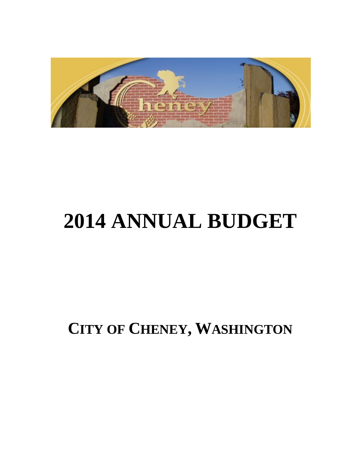

# **2014 ANNUAL BUDGET**

**CITY OF CHENEY, WASHINGTON**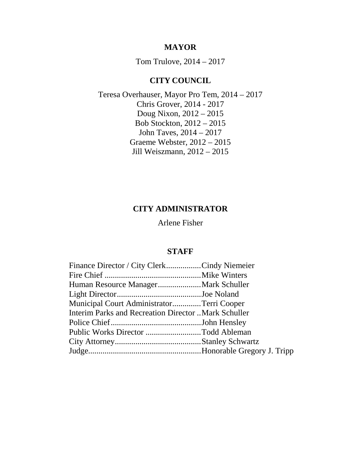### **MAYOR**

Tom Trulove, 2014 – 2017

# **CITY COUNCIL**

Teresa Overhauser, Mayor Pro Tem, 2014 – 2017 Chris Grover, 2014 - 2017 Doug Nixon, 2012 – 2015 Bob Stockton, 2012 – 2015 John Taves, 2014 – 2017 Graeme Webster, 2012 – 2015 Jill Weiszmann, 2012 – 2015

# **CITY ADMINISTRATOR**

Arlene Fisher

# **STAFF**

| Finance Director / City ClerkCindy Niemeier         |  |
|-----------------------------------------------------|--|
|                                                     |  |
|                                                     |  |
|                                                     |  |
| Municipal Court AdministratorTerri Cooper           |  |
| Interim Parks and Recreation Director Mark Schuller |  |
|                                                     |  |
| Public Works Director Todd Ableman                  |  |
|                                                     |  |
|                                                     |  |
|                                                     |  |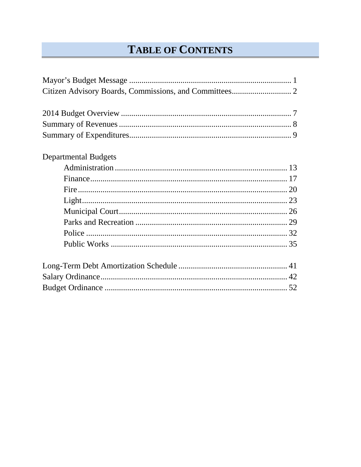# **TABLE OF CONTENTS**

| <b>Departmental Budgets</b> |  |
|-----------------------------|--|
|                             |  |
|                             |  |
|                             |  |
|                             |  |
|                             |  |
|                             |  |
|                             |  |
|                             |  |
|                             |  |
|                             |  |
|                             |  |
|                             |  |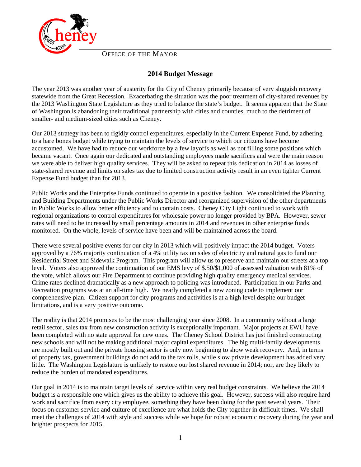

OFFICE OF THE MAYOR

#### **2014 Budget Message**

The year 2013 was another year of austerity for the City of Cheney primarily because of very sluggish recovery statewide from the Great Recession. Exacerbating the situation was the poor treatment of city-shared revenues by the 2013 Washington State Legislature as they tried to balance the state's budget. It seems apparent that the State of Washington is abandoning their traditional partnership with cities and counties, much to the detriment of smaller- and medium-sized cities such as Cheney.

Our 2013 strategy has been to rigidly control expenditures, especially in the Current Expense Fund, by adhering to a bare bones budget while trying to maintain the levels of service to which our citizens have become accustomed. We have had to reduce our workforce by a few layoffs as well as not filling some positions which became vacant. Once again our dedicated and outstanding employees made sacrifices and were the main reason we were able to deliver high quality services. They will be asked to repeat this dedication in 2014 as losses of state-shared revenue and limits on sales tax due to limited construction activity result in an even tighter Current Expense Fund budget than for 2013.

Public Works and the Enterprise Funds continued to operate in a positive fashion. We consolidated the Planning and Building Departments under the Public Works Director and reorganized supervision of the other departments in Public Works to allow better efficiency and to contain costs. Cheney City Light continued to work with regional organizations to control expenditures for wholesale power no longer provided by BPA. However, sewer rates will need to be increased by small percentage amounts in 2014 and revenues in other enterprise funds monitored. On the whole, levels of service have been and will be maintained across the board.

There were several positive events for our city in 2013 which will positively impact the 2014 budget. Voters approved by a 76% majority continuation of a 4% utility tax on sales of electricity and natural gas to fund our Residential Street and Sidewalk Program. This program will allow us to preserve and maintain our streets at a top level. Voters also approved the continuation of our EMS levy of \$.50/\$1,000 of assessed valuation with 81% of the vote, which allows our Fire Department to continue providing high quality emergency medical services. Crime rates declined dramatically as a new approach to policing was introduced. Participation in our Parks and Recreation programs was at an all-time high. We nearly completed a new zoning code to implement our comprehensive plan. Citizen support for city programs and activities is at a high level despite our budget limitations, and is a very positive outcome.

The reality is that 2014 promises to be the most challenging year since 2008. In a community without a large retail sector, sales tax from new construction activity is exceptionally important. Major projects at EWU have been completed with no state approval for new ones. The Cheney School District has just finished constructing new schools and will not be making additional major capital expenditures. The big multi-family developments are mostly built out and the private housing sector is only now beginning to show weak recovery. And, in terms of property tax, government buildings do not add to the tax rolls, while slow private development has added very little. The Washington Legislature is unlikely to restore our lost shared revenue in 2014; nor, are they likely to reduce the burden of mandated expenditures.

Our goal in 2014 is to maintain target levels of service within very real budget constraints. We believe the 2014 budget is a responsible one which gives us the ability to achieve this goal. However, success will also require hard work and sacrifice from every city employee, something they have been doing for the past several years. Their focus on customer service and culture of excellence are what holds the City together in difficult times. We shall meet the challenges of 2014 with style and success while we hope for robust economic recovery during the year and brighter prospects for 2015.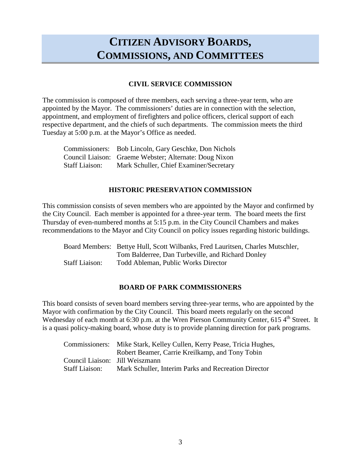# **CITIZEN ADVISORY BOARDS, COMMISSIONS, AND COMMITTEES**

#### **CIVIL SERVICE COMMISSION**

The commission is composed of three members, each serving a three-year term, who are appointed by the Mayor. The commissioners' duties are in connection with the selection, appointment, and employment of firefighters and police officers, clerical support of each respective department, and the chiefs of such departments. The commission meets the third Tuesday at 5:00 p.m. at the Mayor's Office as needed.

|                       | Commissioners: Bob Lincoln, Gary Geschke, Don Nichols  |
|-----------------------|--------------------------------------------------------|
|                       | Council Liaison: Graeme Webster; Alternate: Doug Nixon |
| <b>Staff Liaison:</b> | Mark Schuller, Chief Examiner/Secretary                |

#### **HISTORIC PRESERVATION COMMISSION**

This commission consists of seven members who are appointed by the Mayor and confirmed by the City Council. Each member is appointed for a three-year term. The board meets the first Thursday of even-numbered months at 5:15 p.m. in the City Council Chambers and makes recommendations to the Mayor and City Council on policy issues regarding historic buildings.

|                       | Board Members: Bettye Hull, Scott Wilbanks, Fred Lauritsen, Charles Mutschler, |
|-----------------------|--------------------------------------------------------------------------------|
|                       | Tom Balderree, Dan Turbeville, and Richard Donley                              |
| <b>Staff Liaison:</b> | Todd Ableman, Public Works Director                                            |

#### **BOARD OF PARK COMMISSIONERS**

This board consists of seven board members serving three-year terms, who are appointed by the Mayor with confirmation by the City Council. This board meets regularly on the second Wednesday of each month at 6:30 p.m. at the Wren Pierson Community Center, 615  $4<sup>th</sup>$  Street. It is a quasi policy-making board, whose duty is to provide planning direction for park programs.

| Commissioners:                  | Mike Stark, Kelley Cullen, Kerry Pease, Tricia Hughes, |
|---------------------------------|--------------------------------------------------------|
|                                 | Robert Beamer, Carrie Kreilkamp, and Tony Tobin        |
| Council Liaison: Jill Weiszmann |                                                        |
| <b>Staff Liaison:</b>           | Mark Schuller, Interim Parks and Recreation Director   |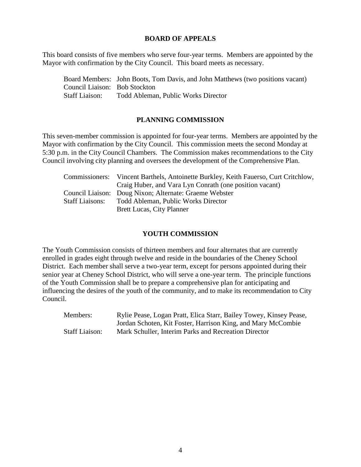#### **BOARD OF APPEALS**

This board consists of five members who serve four-year terms. Members are appointed by the Mayor with confirmation by the City Council. This board meets as necessary.

Board Members: John Boots, Tom Davis, and John Matthews (two positions vacant) Council Liaison: Bob Stockton Staff Liaison: Todd Ableman, Public Works Director

#### **PLANNING COMMISSION**

This seven-member commission is appointed for four-year terms. Members are appointed by the Mayor with confirmation by the City Council. This commission meets the second Monday at 5:30 p.m. in the City Council Chambers. The Commission makes recommendations to the City Council involving city planning and oversees the development of the Comprehensive Plan.

|                        | Commissioners: Vincent Barthels, Antoinette Burkley, Keith Fauerso, Curt Critchlow, |
|------------------------|-------------------------------------------------------------------------------------|
|                        | Craig Huber, and Vara Lyn Conrath (one position vacant)                             |
|                        | Council Liaison: Doug Nixon; Alternate: Graeme Webster                              |
| <b>Staff Liaisons:</b> | Todd Ableman, Public Works Director                                                 |
|                        | <b>Brett Lucas, City Planner</b>                                                    |

#### **YOUTH COMMISSION**

The Youth Commission consists of thirteen members and four alternates that are currently enrolled in grades eight through twelve and reside in the boundaries of the Cheney School District. Each member shall serve a two-year term, except for persons appointed during their senior year at Cheney School District, who will serve a one-year term. The principle functions of the Youth Commission shall be to prepare a comprehensive plan for anticipating and influencing the desires of the youth of the community, and to make its recommendation to City Council.

| Members:              | Rylie Pease, Logan Pratt, Elica Starr, Bailey Towey, Kinsey Pease, |
|-----------------------|--------------------------------------------------------------------|
|                       | Jordan Schoten, Kit Foster, Harrison King, and Mary McCombie       |
| <b>Staff Liaison:</b> | Mark Schuller, Interim Parks and Recreation Director               |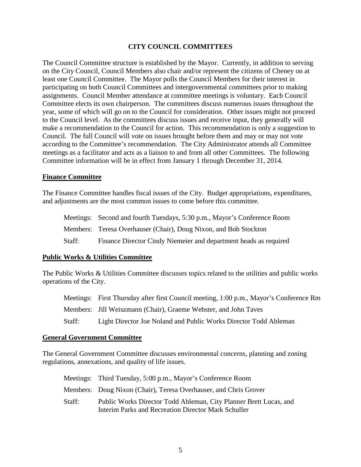#### **CITY COUNCIL COMMITTEES**

The Council Committee structure is established by the Mayor. Currently, in addition to serving on the City Council, Council Members also chair and/or represent the citizens of Cheney on at least one Council Committee. The Mayor polls the Council Members for their interest in participating on both Council Committees and intergovernmental committees prior to making assignments. Council Member attendance at committee meetings is voluntary. Each Council Committee elects its own chairperson. The committees discuss numerous issues throughout the year, some of which will go on to the Council for consideration. Other issues might not proceed to the Council level. As the committees discuss issues and receive input, they generally will make a recommendation to the Council for action. This recommendation is only a suggestion to Council. The full Council will vote on issues brought before them and may or may not vote according to the Committee's recommendation. The City Administrator attends all Committee meetings as a facilitator and acts as a liaison to and from all other Committees. The following Committee information will be in effect from January 1 through December 31, 2014.

#### **Finance Committee**

The Finance Committee handles fiscal issues of the City. Budget appropriations, expenditures, and adjustments are the most common issues to come before this committee.

|        | Meetings: Second and fourth Tuesdays, 5:30 p.m., Mayor's Conference Room |
|--------|--------------------------------------------------------------------------|
|        | Members: Teresa Overhauser (Chair), Doug Nixon, and Bob Stockton         |
| Staff: | Finance Director Cindy Niemeier and department heads as required         |

#### **Public Works & Utilities Committee**

The Public Works & Utilities Committee discusses topics related to the utilities and public works operations of the City.

|        | Meetings: First Thursday after first Council meeting, 1:00 p.m., Mayor's Conference Rm |
|--------|----------------------------------------------------------------------------------------|
|        | Members: Jill Weiszmann (Chair), Graeme Webster, and John Taves                        |
| Staff: | Light Director Joe Noland and Public Works Director Todd Ableman                       |

#### **General Government Committee**

The General Government Committee discusses environmental concerns, planning and zoning regulations, annexations, and quality of life issues.

|        | Meetings: Third Tuesday, 5:00 p.m., Mayor's Conference Room                                                              |
|--------|--------------------------------------------------------------------------------------------------------------------------|
|        | Members: Doug Nixon (Chair), Teresa Overhauser, and Chris Grover                                                         |
| Staff: | Public Works Director Todd Ableman, City Planner Brett Lucas, and<br>Interim Parks and Recreation Director Mark Schuller |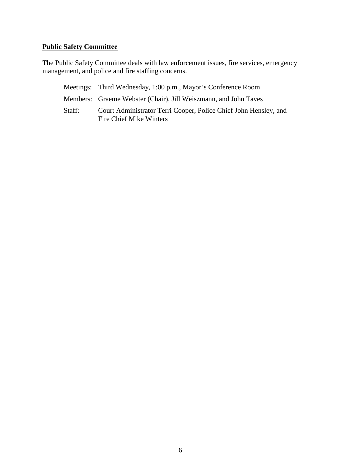### **Public Safety Committee**

The Public Safety Committee deals with law enforcement issues, fire services, emergency management, and police and fire staffing concerns.

|        | Meetings: Third Wednesday, 1:00 p.m., Mayor's Conference Room                               |
|--------|---------------------------------------------------------------------------------------------|
|        | Members: Graeme Webster (Chair), Jill Weiszmann, and John Taves                             |
| Staff: | Court Administrator Terri Cooper, Police Chief John Hensley, and<br>Fire Chief Mike Winters |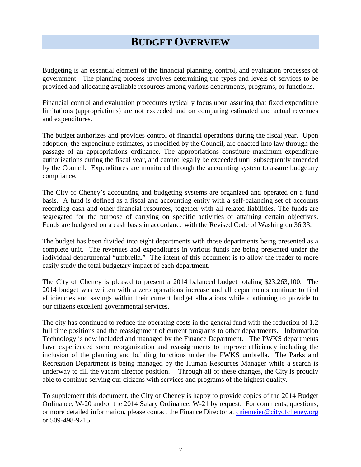# **BUDGET OVERVIEW**

Budgeting is an essential element of the financial planning, control, and evaluation processes of government. The planning process involves determining the types and levels of services to be provided and allocating available resources among various departments, programs, or functions.

Financial control and evaluation procedures typically focus upon assuring that fixed expenditure limitations (appropriations) are not exceeded and on comparing estimated and actual revenues and expenditures.

The budget authorizes and provides control of financial operations during the fiscal year. Upon adoption, the expenditure estimates, as modified by the Council, are enacted into law through the passage of an appropriations ordinance. The appropriations constitute maximum expenditure authorizations during the fiscal year, and cannot legally be exceeded until subsequently amended by the Council. Expenditures are monitored through the accounting system to assure budgetary compliance.

The City of Cheney's accounting and budgeting systems are organized and operated on a fund basis. A fund is defined as a fiscal and accounting entity with a self-balancing set of accounts recording cash and other financial resources, together with all related liabilities. The funds are segregated for the purpose of carrying on specific activities or attaining certain objectives. Funds are budgeted on a cash basis in accordance with the Revised Code of Washington 36.33.

The budget has been divided into eight departments with those departments being presented as a complete unit. The revenues and expenditures in various funds are being presented under the individual departmental "umbrella." The intent of this document is to allow the reader to more easily study the total budgetary impact of each department.

The City of Cheney is pleased to present a 2014 balanced budget totaling \$23,263,100. The 2014 budget was written with a zero operations increase and all departments continue to find efficiencies and savings within their current budget allocations while continuing to provide to our citizens excellent governmental services.

The city has continued to reduce the operating costs in the general fund with the reduction of 1.2 full time positions and the reassignment of current programs to other departments. Information Technology is now included and managed by the Finance Department. The PWKS departments have experienced some reorganization and reassignments to improve efficiency including the inclusion of the planning and building functions under the PWKS umbrella. The Parks and Recreation Department is being managed by the Human Resources Manager while a search is underway to fill the vacant director position. Through all of these changes, the City is proudly able to continue serving our citizens with services and programs of the highest quality.

To supplement this document, the City of Cheney is happy to provide copies of the 2014 Budget Ordinance, W-20 and/or the 2014 Salary Ordinance, W-21 by request. For comments, questions, or more detailed information, please contact the Finance Director at [cniemeier@cityofcheney.org](mailto:cniemeier@cityofcheney.org) or 509-498-9215.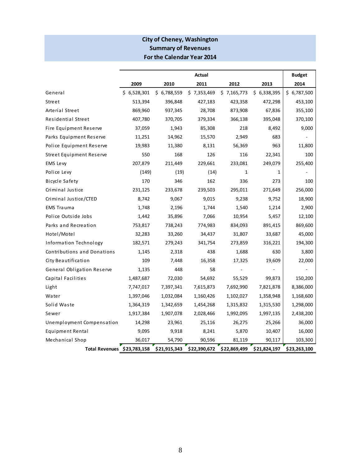### **City of Cheney, Washington Summary of Revenues For the Calendar Year 2014**

|                             | Actual      |              |              | <b>Budget</b> |              |              |
|-----------------------------|-------------|--------------|--------------|---------------|--------------|--------------|
|                             | 2009        | 2010         | 2011         | 2012          | 2013         | 2014         |
| General                     | \$6,528,301 | \$6,788,559  | \$7,353,469  | \$7,165,773   | \$6,338,395  | \$6,787,500  |
| Street                      | 513,394     | 396,848      | 427,183      | 423,358       | 472,298      | 453,100      |
| Arterial Street             | 869,960     | 937,345      | 28,708       | 873,908       | 67,836       | 355,100      |
| Residential Street          | 407,780     | 370,705      | 379,334      | 366,138       | 395,048      | 370,100      |
| Fire Equipment Reserve      | 37,059      | 1,943        | 85,308       | 218           | 8,492        | 9,000        |
| Parks Equipment Reserve     | 11,251      | 14,962       | 15,570       | 2,949         | 683          |              |
| Police Equipment Reserve    | 19,983      | 11,380       | 8,131        | 56,369        | 963          | 11,800       |
| Street Equipment Reserve    | 550         | 168          | 126          | 116           | 22,341       | 100          |
| EMS Levy                    | 207,879     | 211,449      | 229,661      | 233,081       | 249,079      | 255,400      |
| Police Levy                 | (149)       | (19)         | (14)         | 1             | 1            |              |
| Bicycle Safety              | 170         | 346          | 162          | 336           | 273          | 100          |
| Criminal Justice            | 231,125     | 233,678      | 239,503      | 295,011       | 271,649      | 256,000      |
| Criminal Justice/CTED       | 8,742       | 9,067        | 9,015        | 9,238         | 9,752        | 18,900       |
| <b>EMS Trauma</b>           | 1,748       | 2,196        | 1,744        | 1,540         | 1,214        | 2,900        |
| Police Outside Jobs         | 1,442       | 35,896       | 7,066        | 10,954        | 5,457        | 12,100       |
| Parks and Recreation        | 753,817     | 738,243      | 774,983      | 834,093       | 891,415      | 869,600      |
| Hotel/Motel                 | 32,283      | 33,260       | 34,437       | 31,807        | 33,687       | 45,000       |
| Information Technology      | 182,571     | 279,243      | 341,754      | 273,859       | 316,221      | 194,300      |
| Contributions and Donations | 1,145       | 2,318        | 438          | 1,688         | 630          | 3,800        |
| City Beautification         | 109         | 7,448        | 16,358       | 17,325        | 19,609       | 22,000       |
| General Obligation Reserve  | 1,135       | 448          | 58           |               |              |              |
| Capital Facilities          | 1,487,687   | 72,030       | 54,692       | 55,529        | 99,873       | 150,200      |
| Light                       | 7,747,017   | 7,397,341    | 7,615,873    | 7,692,990     | 7,821,878    | 8,386,000    |
| Water                       | 1,397,046   | 1,032,084    | 1,160,426    | 1,102,027     | 1,358,948    | 1,168,600    |
| Solid Waste                 | 1,364,319   | 1,342,659    | 1,454,268    | 1,315,832     | 1,315,530    | 1,298,000    |
| Sewer                       | 1,917,384   | 1,907,078    | 2,028,466    | 1,992,095     | 1,997,135    | 2,438,200    |
| Unemployment Compensation   | 14,298      | 23,961       | 25,116       | 26,275        | 25,266       | 36,000       |
| <b>Equipment Rental</b>     | 9,095       | 9,918        | 8,241        | 5,870         | 10,407       | 16,000       |
| Mechanical Shop             | 36,017      | 54,790       | 90,596       | 81,119        | 90,117       | 103,300      |
| Total Revenues \$23,783,158 |             | \$21,915,343 | \$22,390,672 | \$22,869,499  | \$21,824,197 | \$23,263,100 |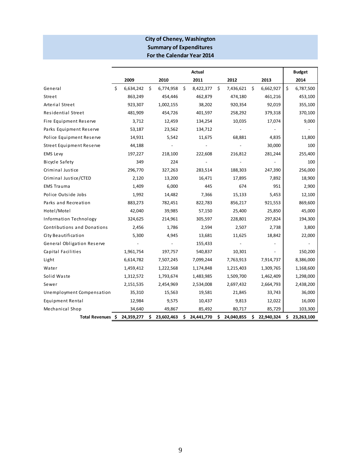#### **City of Cheney, Washington For the Calendar Year 2014 Summary of Expenditures**

|                              |                |    |            |    | Actual     |    |            |     |            |    | <b>Budget</b> |
|------------------------------|----------------|----|------------|----|------------|----|------------|-----|------------|----|---------------|
|                              | 2009           |    | 2010       |    | 2011       |    | 2012       |     | 2013       |    | 2014          |
| General                      | Ś<br>6,634,242 | Ŝ. | 6,774,958  | Ŝ. | 8,422,377  | Ŝ. | 7,436,621  | \$  | 6,662,927  | Ś. | 6,787,500     |
| Street                       | 863,249        |    | 454,446    |    | 462,879    |    | 474,180    |     | 461,216    |    | 453,100       |
| Arterial Street              | 923,307        |    | 1,002,155  |    | 38,202     |    | 920,354    |     | 92,019     |    | 355,100       |
| Residential Street           | 481,909        |    | 454,726    |    | 401,597    |    | 258,292    |     | 379,318    |    | 370,100       |
| Fire Equipment Reserve       | 3,712          |    | 12,459     |    | 134,254    |    | 10,035     |     | 17,074     |    | 9,000         |
| Parks Equipment Reserve      | 53,187         |    | 23,562     |    | 134,712    |    |            |     |            |    |               |
| Police Equipment Reserve     | 14,931         |    | 5,542      |    | 11,675     |    | 68,881     |     | 4,835      |    | 11,800        |
| Street Equipment Reserve     | 44,188         |    |            |    |            |    |            |     | 30,000     |    | 100           |
| EMS Levy                     | 197,227        |    | 218,100    |    | 222,608    |    | 216,812    |     | 281,244    |    | 255,400       |
| Bicycle Safety               | 349            |    | 224        |    |            |    |            |     |            |    | 100           |
| Criminal Justice             | 296,770        |    | 327,263    |    | 283,514    |    | 188,303    |     | 247,390    |    | 256,000       |
| Criminal Justice/CTED        | 2,120          |    | 13,200     |    | 16,471     |    | 17,895     |     | 7,892      |    | 18,900        |
| <b>EMS Trauma</b>            | 1,409          |    | 6,000      |    | 445        |    | 674        |     | 951        |    | 2,900         |
| Police Outside Jobs          | 1,992          |    | 14,482     |    | 7,366      |    | 15,133     |     | 5,453      |    | 12,100        |
| Parks and Recreation         | 883,273        |    | 782,451    |    | 822,783    |    | 856,217    |     | 921,553    |    | 869,600       |
| Hotel/Motel                  | 42,040         |    | 39,985     |    | 57,150     |    | 25,400     |     | 25,850     |    | 45,000        |
| Information Technology       | 324,625        |    | 214,961    |    | 305,597    |    | 228,801    |     | 297,824    |    | 194,300       |
| Contributions and Donations  | 2,456          |    | 1,786      |    | 2,594      |    | 2,507      |     | 2,738      |    | 3,800         |
| City Beautification          | 5,300          |    | 4,945      |    | 13,681     |    | 11,625     |     | 18,842     |    | 22,000        |
| General Obligation Reserve   |                |    |            |    | 155,433    |    |            |     |            |    |               |
| Capital Facilities           | 1,961,754      |    | 197,757    |    | 540,837    |    | 10,301     |     |            |    | 150,200       |
| Light                        | 6,614,782      |    | 7,507,245  |    | 7,099,244  |    | 7,763,913  |     | 7,914,737  |    | 8,386,000     |
| Water                        | 1,459,412      |    | 1,222,568  |    | 1,174,848  |    | 1,215,403  |     | 1,309,765  |    | 1,168,600     |
| Solid Waste                  | 1,312,572      |    | 1,793,674  |    | 1,483,985  |    | 1,509,700  |     | 1,462,409  |    | 1,298,000     |
| Sewer                        | 2,151,535      |    | 2,454,969  |    | 2,534,008  |    | 2,697,432  |     | 2,664,793  |    | 2,438,200     |
| Unemployment Compensation    | 35,310         |    | 15,563     |    | 19,581     |    | 21,845     |     | 33,743     |    | 36,000        |
| Equipment Rental             | 12,984         |    | 9,575      |    | 10,437     |    | 9,813      |     | 12,022     |    | 16,000        |
| Mechanical Shop              | 34,640         |    | 49,867     |    | 85,492     |    | 80,717     |     | 85,729     |    | 103,300       |
| Total Revenues \$ 24,359,277 |                | \$ | 23,602,463 | \$ | 24,441,770 | \$ | 24,040,855 | \$. | 22,940,324 | \$ | 23,263,100    |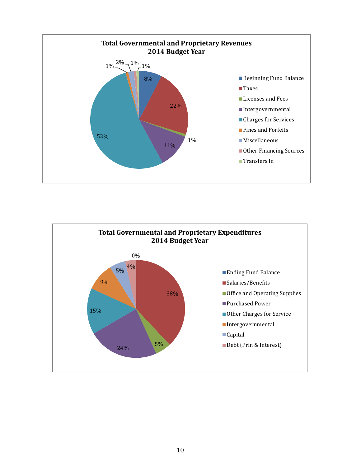

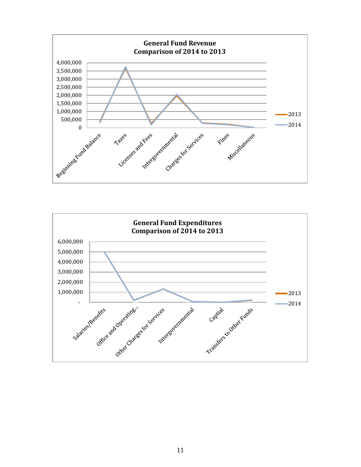

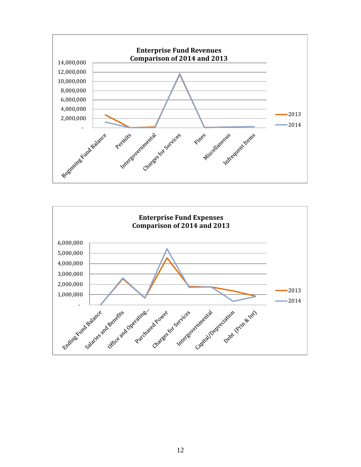

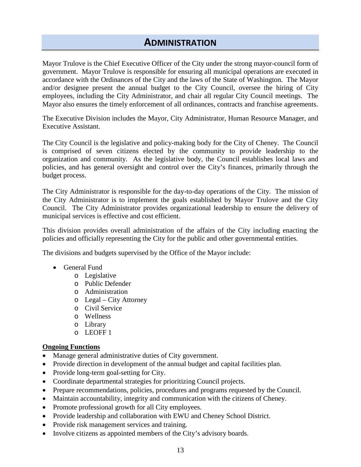# **ADMINISTRATION**

Mayor Trulove is the Chief Executive Officer of the City under the strong mayor-council form of government. Mayor Trulove is responsible for ensuring all municipal operations are executed in accordance with the Ordinances of the City and the laws of the State of Washington. The Mayor and/or designee present the annual budget to the City Council, oversee the hiring of City employees, including the City Administrator, and chair all regular City Council meetings. The Mayor also ensures the timely enforcement of all ordinances, contracts and franchise agreements.

The Executive Division includes the Mayor, City Administrator, Human Resource Manager, and Executive Assistant.

The City Council is the legislative and policy-making body for the City of Cheney. The Council is comprised of seven citizens elected by the community to provide leadership to the organization and community. As the legislative body, the Council establishes local laws and policies, and has general oversight and control over the City's finances, primarily through the budget process.

The City Administrator is responsible for the day-to-day operations of the City. The mission of the City Administrator is to implement the goals established by Mayor Trulove and the City Council. The City Administrator provides organizational leadership to ensure the delivery of municipal services is effective and cost efficient.

This division provides overall administration of the affairs of the City including enacting the policies and officially representing the City for the public and other governmental entities.

The divisions and budgets supervised by the Office of the Mayor include:

- General Fund
	- o Legislative
	- o Public Defender
	- o Administration
	- o Legal City Attorney
	- o Civil Service
	- o Wellness
	- o Library
	- o LEOFF 1

#### **Ongoing Functions**

- Manage general administrative duties of City government.
- Provide direction in development of the annual budget and capital facilities plan.
- Provide long-term goal-setting for City.
- Coordinate departmental strategies for prioritizing Council projects.
- Prepare recommendations, policies, procedures and programs requested by the Council.
- Maintain accountability, integrity and communication with the citizens of Cheney.
- Promote professional growth for all City employees.
- Provide leadership and collaboration with EWU and Cheney School District.
- Provide risk management services and training.
- Involve citizens as appointed members of the City's advisory boards.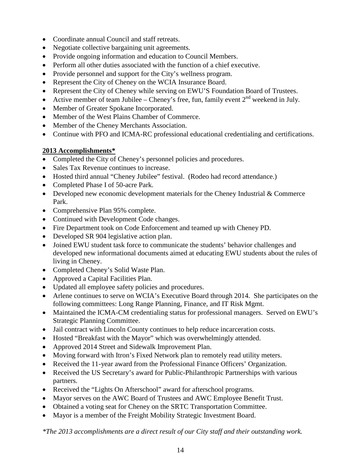- Coordinate annual Council and staff retreats.
- Negotiate collective bargaining unit agreements.
- Provide ongoing information and education to Council Members.
- Perform all other duties associated with the function of a chief executive.
- Provide personnel and support for the City's wellness program.
- Represent the City of Cheney on the WCIA Insurance Board.
- Represent the City of Cheney while serving on EWU'S Foundation Board of Trustees.
- Active member of team Jubilee Cheney's free, fun, family event  $2<sup>nd</sup>$  weekend in July.
- Member of Greater Spokane Incorporated.
- Member of the West Plains Chamber of Commerce.
- Member of the Cheney Merchants Association.
- Continue with PFO and ICMA-RC professional educational credentialing and certifications.

#### **2013 Accomplishments\***

- Completed the City of Cheney's personnel policies and procedures.
- Sales Tax Revenue continues to increase.
- Hosted third annual "Cheney Jubilee" festival. (Rodeo had record attendance.)
- Completed Phase I of 50-acre Park.
- Developed new economic development materials for the Cheney Industrial & Commerce Park.
- Comprehensive Plan 95% complete.
- Continued with Development Code changes.
- Fire Department took on Code Enforcement and teamed up with Cheney PD.
- Developed SR 904 legislative action plan.
- Joined EWU student task force to communicate the students' behavior challenges and developed new informational documents aimed at educating EWU students about the rules of living in Cheney.
- Completed Cheney's Solid Waste Plan.
- Approved a Capital Facilities Plan.
- Updated all employee safety policies and procedures.
- Arlene continues to serve on WCIA's Executive Board through 2014. She participates on the following committees: Long Range Planning, Finance, and IT Risk Mgmt.
- Maintained the ICMA-CM credentialing status for professional managers. Served on EWU's Strategic Planning Committee.
- Jail contract with Lincoln County continues to help reduce incarceration costs.
- Hosted "Breakfast with the Mayor" which was overwhelmingly attended.
- Approved 2014 Street and Sidewalk Improvement Plan.
- Moving forward with Itron's Fixed Network plan to remotely read utility meters.
- Received the 11-year award from the Professional Finance Officers' Organization.
- Received the US Secretary's award for Public-Philanthropic Partnerships with various partners.
- Received the "Lights On Afterschool" award for afterschool programs.
- Mayor serves on the AWC Board of Trustees and AWC Employee Benefit Trust.
- Obtained a voting seat for Cheney on the SRTC Transportation Committee.
- Mayor is a member of the Freight Mobility Strategic Investment Board.

*\*The 2013 accomplishments are a direct result of our City staff and their outstanding work.*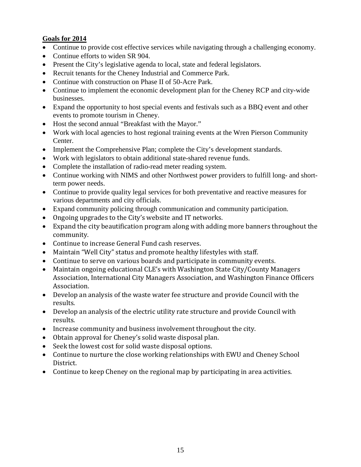### **Goals for 2014**

- Continue to provide cost effective services while navigating through a challenging economy.
- Continue efforts to widen SR 904.
- Present the City's legislative agenda to local, state and federal legislators.
- Recruit tenants for the Cheney Industrial and Commerce Park.
- Continue with construction on Phase II of 50-Acre Park.
- Continue to implement the economic development plan for the Cheney RCP and city-wide businesses.
- Expand the opportunity to host special events and festivals such as a BBQ event and other events to promote tourism in Cheney.
- Host the second annual "Breakfast with the Mayor."
- Work with local agencies to host regional training events at the Wren Pierson Community Center.
- Implement the Comprehensive Plan; complete the City's development standards.
- Work with legislators to obtain additional state-shared revenue funds.
- Complete the installation of radio-read meter reading system.
- Continue working with NIMS and other Northwest power providers to fulfill long- and shortterm power needs.
- Continue to provide quality legal services for both preventative and reactive measures for various departments and city officials.
- Expand community policing through communication and community participation.
- Ongoing upgrades to the City's website and IT networks.
- Expand the city beautification program along with adding more banners throughout the community.
- Continue to increase General Fund cash reserves.
- Maintain "Well City" status and promote healthy lifestyles with staff.
- Continue to serve on various boards and participate in community events.
- Maintain ongoing educational CLE's with Washington State City/County Managers Association, International City Managers Association, and Washington Finance Officers Association.
- Develop an analysis of the waste water fee structure and provide Council with the results.
- Develop an analysis of the electric utility rate structure and provide Council with results.
- Increase community and business involvement throughout the city.
- Obtain approval for Cheney's solid waste disposal plan.
- Seek the lowest cost for solid waste disposal options.
- Continue to nurture the close working relationships with EWU and Cheney School District.
- Continue to keep Cheney on the regional map by participating in area activities.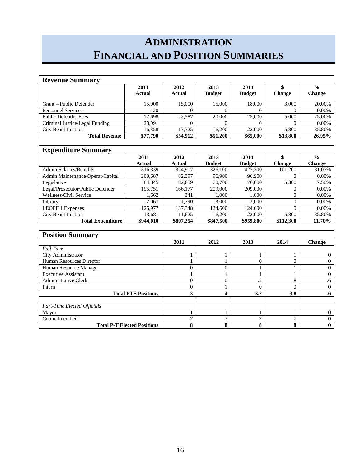# **ADMINISTRATION FINANCIAL AND POSITION SUMMARIES**

| <b>Revenue Summary</b>         |                |                |                       |                       |               |                                |
|--------------------------------|----------------|----------------|-----------------------|-----------------------|---------------|--------------------------------|
|                                | 2011<br>Actual | 2012<br>Actual | 2013<br><b>Budget</b> | 2014<br><b>Budget</b> | <b>Change</b> | $\frac{6}{6}$<br><b>Change</b> |
| Grant – Public Defender        | 15,000         | 15,000         | 15.000                | 18.000                | 3.000         | 20.00%                         |
| <b>Personnel Services</b>      | 420            | v              |                       |                       |               | $0.00\%$                       |
| <b>Public Defender Fees</b>    | 17.698         | 22.587         | 20,000                | 25,000                | 5.000         | 25.00%                         |
| Criminal Justice/Legal Funding | 28.091         |                |                       |                       |               | $0.00\%$                       |
| <b>City Beautification</b>     | 16,358         | 17.325         | 16.200                | 22,000                | 5.800         | 35.80%                         |
| <b>Total Revenue</b>           | \$77,790       | \$54,912       | \$51,200              | \$65,000              | \$13,800      | 26.95%                         |

### **Expenditure Summary**

| $\mathbf{L}_{\mathbf{u}}$ pendicule bulliman, |           |           |               |               |               |               |
|-----------------------------------------------|-----------|-----------|---------------|---------------|---------------|---------------|
|                                               | 2011      | 2012      | 2013          | 2014          |               | $\frac{0}{0}$ |
|                                               | Actual    | Actual    | <b>Budget</b> | <b>Budget</b> | <b>Change</b> | <b>Change</b> |
| <b>Admin Salaries/Benefits</b>                | 316.339   | 324.917   | 326,100       | 427,300       | 101.200       | 31.03%        |
| Admin Maintenance/Operat/Capital              | 203,687   | 82,397    | 96,900        | 96,900        |               | 0.00%         |
| Legislative                                   | 84.845    | 82.659    | 70,700        | 76,000        | 5,300         | 7.50%         |
| Legal/Prosecutor/Public Defender              | 195.751   | 166.177   | 209,000       | 209,000       |               | 0.00%         |
| Wellness/Civil Service                        | 1.662     | 341       | 1.000         | 1.000         | U             | $0.00\%$      |
| Library                                       | 2.067     | 1.790     | 3.000         | 3.000         |               | 0.00%         |
| <b>LEOFF 1 Expenses</b>                       | 125.977   | 137.348   | 124,600       | 124,600       |               | $0.00\%$      |
| <b>City Beautification</b>                    | 13.681    | 1.625     | 16.200        | 22,000        | 5.800         | 35.80%        |
| <b>Total Expenditure</b>                      | \$944,010 | \$807,254 | \$847.500     | \$959,800     | \$112,300     | 11.70%        |

| <b>Position Summary</b>            |          |        |              |           |           |
|------------------------------------|----------|--------|--------------|-----------|-----------|
|                                    | 2011     | 2012   | 2013         | 2014      | Change    |
| <b>Full Time</b>                   |          |        |              |           |           |
| City Administrator                 |          |        |              |           |           |
| Human Resources Director           |          |        | 0            |           |           |
| Human Resource Manager             | 0        |        |              |           |           |
| <b>Executive Assistant</b>         |          |        |              |           |           |
| <b>Administrative Clerk</b>        | $\Omega$ |        | $\cdot$ .2   | $\cdot^8$ | .6        |
| Intern                             | $\Omega$ |        | 0            |           |           |
| <b>Total FTE Positions</b>         | 3        |        | 3.2          | 3.8       | $\cdot 6$ |
| <b>Part-Time Elected Officials</b> |          |        |              |           |           |
| Mayor                              |          |        |              |           |           |
| Councilmembers                     | -        |        | $\mathbf{r}$ | -         |           |
| <b>Total P-T Elected Positions</b> | 8        | o<br>O | 8            | ο         |           |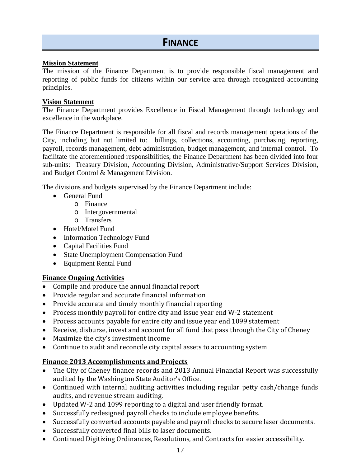#### **Mission Statement**

The mission of the Finance Department is to provide responsible fiscal management and reporting of public funds for citizens within our service area through recognized accounting principles.

#### **Vision Statement**

The Finance Department provides Excellence in Fiscal Management through technology and excellence in the workplace.

The Finance Department is responsible for all fiscal and records management operations of the City, including but not limited to: billings, collections, accounting, purchasing, reporting, payroll, records management, debt administration, budget management, and internal control. To facilitate the aforementioned responsibilities, the Finance Department has been divided into four sub-units: Treasury Division, Accounting Division, Administrative/Support Services Division, and Budget Control & Management Division.

The divisions and budgets supervised by the Finance Department include:

- General Fund
	- o Finance
	- o Intergovernmental
	- o Transfers
- Hotel/Motel Fund
- Information Technology Fund
- Capital Facilities Fund
- State Unemployment Compensation Fund
- Equipment Rental Fund

#### **Finance Ongoing Activities**

- Compile and produce the annual financial report
- Provide regular and accurate financial information
- Provide accurate and timely monthly financial reporting
- Process monthly payroll for entire city and issue year end W-2 statement
- Process accounts payable for entire city and issue year end 1099 statement
- Receive, disburse, invest and account for all fund that pass through the City of Cheney
- Maximize the city's investment income
- Continue to audit and reconcile city capital assets to accounting system

### **Finance 2013 Accomplishments and Projects**

- The City of Cheney finance records and 2013 Annual Financial Report was successfully audited by the Washington State Auditor's Office.
- Continued with internal auditing activities including regular petty cash/change funds audits, and revenue stream auditing.
- Updated W-2 and 1099 reporting to a digital and user friendly format.
- Successfully redesigned payroll checks to include employee benefits.
- Successfully converted accounts payable and payroll checks to secure laser documents.
- Successfully converted final bills to laser documents.
- Continued Digitizing Ordinances, Resolutions, and Contracts for easier accessibility.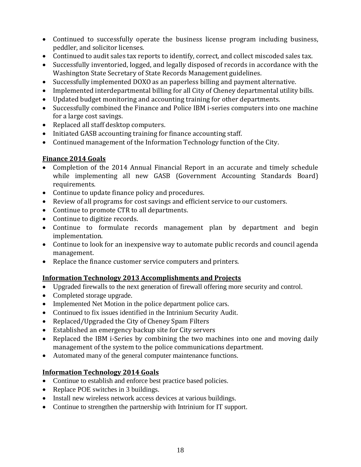- Continued to successfully operate the business license program including business, peddler, and solicitor licenses.
- Continued to audit sales tax reports to identify, correct, and collect miscoded sales tax.
- Successfully inventoried, logged, and legally disposed of records in accordance with the Washington State Secretary of State Records Management guidelines.
- Successfully implemented DOXO as an paperless billing and payment alternative.
- Implemented interdepartmental billing for all City of Cheney departmental utility bills.
- Updated budget monitoring and accounting training for other departments.
- Successfully combined the Finance and Police IBM i-series computers into one machine for a large cost savings.
- Replaced all staff desktop computers.
- Initiated GASB accounting training for finance accounting staff.
- Continued management of the Information Technology function of the City.

### **Finance 2014 Goals**

- Completion of the 2014 Annual Financial Report in an accurate and timely schedule while implementing all new GASB (Government Accounting Standards Board) requirements.
- Continue to update finance policy and procedures.
- Review of all programs for cost savings and efficient service to our customers.
- Continue to promote CTR to all departments.
- Continue to digitize records.
- Continue to formulate records management plan by department and begin implementation.
- Continue to look for an inexpensive way to automate public records and council agenda management.
- Replace the finance customer service computers and printers.

### **Information Technology 2013 Accomplishments and Projects**

- Upgraded firewalls to the next generation of firewall offering more security and control.
- Completed storage upgrade.
- Implemented Net Motion in the police department police cars.
- Continued to fix issues identified in the Intrinium Security Audit.
- Replaced/Upgraded the City of Cheney Spam Filters
- Established an emergency backup site for City servers
- Replaced the IBM i-Series by combining the two machines into one and moving daily management of the system to the police communications department.
- Automated many of the general computer maintenance functions.

### **Information Technology 2014 Goals**

- Continue to establish and enforce best practice based policies.
- Replace POE switches in 3 buildings.
- Install new wireless network access devices at various buildings.
- Continue to strengthen the partnership with Intrinium for IT support.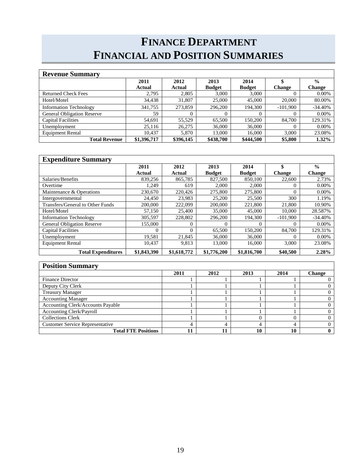# **FINANCE DEPARTMENT FINANCIAL AND POSITION SUMMARIES**

| <b>Revenue Summary</b>            |             |           |               |               |               |               |
|-----------------------------------|-------------|-----------|---------------|---------------|---------------|---------------|
|                                   | 2011        | 2012      | 2013          | 2014          |               | $\frac{0}{0}$ |
|                                   | Actual      | Actual    | <b>Budget</b> | <b>Budget</b> | <b>Change</b> | Change        |
| <b>Returned Check Fees</b>        | 2.795       | 2,805     | 3.000         | 3.000         |               | $0.00\%$      |
| Hotel/Motel                       | 34,438      | 31,807    | 25,000        | 45,000        | 20,000        | 80.00%        |
| <b>Information Technology</b>     | 341,755     | 273,859   | 296,200       | 194.300       | $-101,900$    | $-34.40%$     |
| <b>General Obligation Reserve</b> | 59          | $\Omega$  |               | $\Omega$      |               | $0.00\%$      |
| <b>Capital Facilities</b>         | 54,691      | 55.529    | 65,500        | 150,200       | 84,700        | 129.31%       |
| Unemployment                      | 25.116      | 26,275    | 36,000        | 36,000        | $\Omega$      | $0.00\%$      |
| <b>Equipment Rental</b>           | 10.437      | 5,870     | 13,000        | 16,000        | 3,000         | 23.08%        |
| <b>Total Revenue</b>              | \$1,396,717 | \$396,145 | \$438,700     | \$444,500     | \$5,800       | $1.32\%$      |

| <b>Expenditure Summary</b>        |             |             |               |               |               |               |
|-----------------------------------|-------------|-------------|---------------|---------------|---------------|---------------|
|                                   | 2011        | 2012        | 2013          | 2014          | \$            | $\frac{0}{0}$ |
|                                   | Actual      | Actual      | <b>Budget</b> | <b>Budget</b> | <b>Change</b> | <b>Change</b> |
| Salaries/Benefits                 | 839,256     | 865,785     | 827,500       | 850,100       | 22,600        | 2.73%         |
| Overtime                          | 1.249       | 619         | 2,000         | 2,000         | 0             | 0.00%         |
| Maintenance & Operations          | 230,670     | 220.426     | 275,800       | 275,800       | $\Omega$      | $0.00\%$      |
| Intergovernmental                 | 24,450      | 23,983      | 25,200        | 25,500        | 300           | 1.19%         |
| Transfers/General to Other Funds  | 200,000     | 222,099     | 200,000       | 221,800       | 21,800        | 10.90%        |
| Hotel/Motel                       | 57,150      | 25,400      | 35,000        | 45,000        | 10.000        | 28.587%       |
| <b>Information Technology</b>     | 305,597     | 228,802     | 296,200       | 194.300       | $-101,900$    | $-34.40%$     |
| <b>General Obligation Reserve</b> | 155,000     | $\Omega$    |               | 0             | 0             | $0.00\%$      |
| <b>Capital Facilities</b>         | $\Omega$    | $\Omega$    | 65,500        | 150,200       | 84,700        | 129.31%       |
| Unemployment                      | 19,581      | 21,845      | 36,000        | 36,000        | 0             | $0.00\%$      |
| <b>Equipment Rental</b>           | 10.437      | 9,813       | 13,000        | 16,000        | 3,000         | 23.08%        |
| <b>Total Expenditures</b>         | \$1,843,390 | \$1,618,772 | \$1,776,200   | \$1,816,700   | \$40,500      | 2.28%         |

| <b>Position Summary</b>                |      |      |      |      |               |  |  |  |
|----------------------------------------|------|------|------|------|---------------|--|--|--|
|                                        | 2011 | 2012 | 2013 | 2014 | <b>Change</b> |  |  |  |
| <b>Finance Director</b>                |      |      |      |      |               |  |  |  |
| Deputy City Clerk                      |      |      |      |      |               |  |  |  |
| <b>Treasury Manager</b>                |      |      |      |      |               |  |  |  |
| <b>Accounting Manager</b>              |      |      |      |      |               |  |  |  |
| Accounting Clerk/Accounts Payable      |      |      |      |      |               |  |  |  |
| <b>Accounting Clerk/Payroll</b>        |      |      |      |      |               |  |  |  |
| <b>Collections Clerk</b>               |      |      |      |      |               |  |  |  |
| <b>Customer Service Representative</b> | 4    |      |      |      |               |  |  |  |
| <b>Total FTE Positions</b>             | 11   |      | 10   | 10   |               |  |  |  |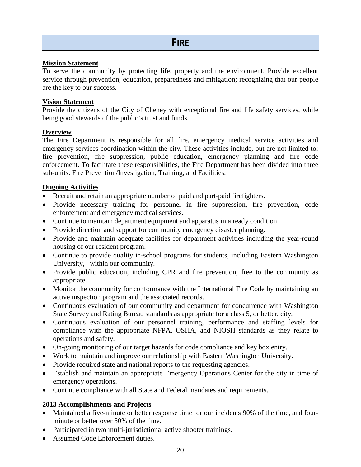#### **Mission Statement**

To serve the community by protecting life, property and the environment. Provide excellent service through prevention, education, preparedness and mitigation; recognizing that our people are the key to our success.

#### **Vision Statement**

Provide the citizens of the City of Cheney with exceptional fire and life safety services, while being good stewards of the public's trust and funds.

#### **Overview**

The Fire Department is responsible for all fire, emergency medical service activities and emergency services coordination within the city. These activities include, but are not limited to: fire prevention, fire suppression, public education, emergency planning and fire code enforcement. To facilitate these responsibilities, the Fire Department has been divided into three sub-units: Fire Prevention/Investigation, Training, and Facilities.

#### **Ongoing Activities**

- Recruit and retain an appropriate number of paid and part-paid firefighters.
- Provide necessary training for personnel in fire suppression, fire prevention, code enforcement and emergency medical services.
- Continue to maintain department equipment and apparatus in a ready condition.
- Provide direction and support for community emergency disaster planning.
- Provide and maintain adequate facilities for department activities including the year-round housing of our resident program.
- Continue to provide quality in-school programs for students, including Eastern Washington University, within our community.
- Provide public education, including CPR and fire prevention, free to the community as appropriate.
- Monitor the community for conformance with the International Fire Code by maintaining an active inspection program and the associated records.
- Continuous evaluation of our community and department for concurrence with Washington State Survey and Rating Bureau standards as appropriate for a class 5, or better, city.
- Continuous evaluation of our personnel training, performance and staffing levels for compliance with the appropriate NFPA, OSHA, and NIOSH standards as they relate to operations and safety.
- On-going monitoring of our target hazards for code compliance and key box entry.
- Work to maintain and improve our relationship with Eastern Washington University.
- Provide required state and national reports to the requesting agencies.
- Establish and maintain an appropriate Emergency Operations Center for the city in time of emergency operations.
- Continue compliance with all State and Federal mandates and requirements.

#### **2013 Accomplishments and Projects**

- Maintained a five-minute or better response time for our incidents 90% of the time, and fourminute or better over 80% of the time.
- Participated in two multi-jurisdictional active shooter trainings.
- Assumed Code Enforcement duties.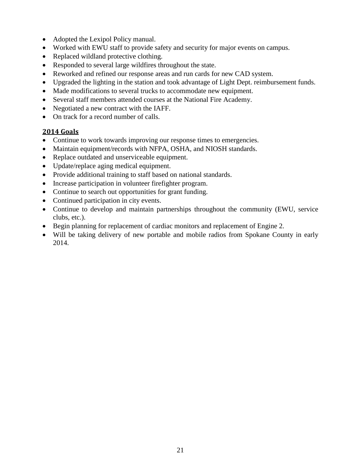- Adopted the Lexipol Policy manual.
- Worked with EWU staff to provide safety and security for major events on campus.
- Replaced wildland protective clothing.
- Responded to several large wildfires throughout the state.
- Reworked and refined our response areas and run cards for new CAD system.
- Upgraded the lighting in the station and took advantage of Light Dept. reimbursement funds.
- Made modifications to several trucks to accommodate new equipment.
- Several staff members attended courses at the National Fire Academy.
- Negotiated a new contract with the IAFF.
- On track for a record number of calls.

### **2014 Goals**

- Continue to work towards improving our response times to emergencies.
- Maintain equipment/records with NFPA, OSHA, and NIOSH standards.
- Replace outdated and unserviceable equipment.
- Update/replace aging medical equipment.
- Provide additional training to staff based on national standards.
- Increase participation in volunteer firefighter program.
- Continue to search out opportunities for grant funding.
- Continued participation in city events.
- Continue to develop and maintain partnerships throughout the community (EWU, service clubs, etc.).
- Begin planning for replacement of cardiac monitors and replacement of Engine 2.
- Will be taking delivery of new portable and mobile radios from Spokane County in early 2014.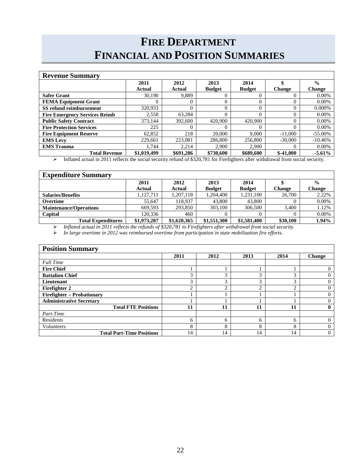# **FIRE DEPARTMENT FINANCIAL AND POSITION SUMMARIES**

| <b>Revenue Summary</b>               |             |           |               |               |                   |               |  |  |
|--------------------------------------|-------------|-----------|---------------|---------------|-------------------|---------------|--|--|
|                                      | 2011        | 2012      | 2013          | 2014          |                   | $\frac{0}{0}$ |  |  |
|                                      | Actual      | Actual    | <b>Budget</b> | <b>Budget</b> | <b>Change</b>     | <b>Change</b> |  |  |
| <b>Safer Grant</b>                   | 30,190      | 9,889     |               |               |                   | $0.00\%$      |  |  |
| <b>FEMA Equipment Grant</b>          |             | 0         | 0             |               |                   | $0.00\%$      |  |  |
| SS refund reimbursement              | 320,933     | $\Omega$  | $\Omega$      | $\Omega$      | 0                 | 0.000%        |  |  |
| <b>Fire Emergency Services Reimb</b> | 2,558       | 63.284    |               | 0             | $\theta$          | $0.00\%$      |  |  |
| <b>Public Safety Contract</b>        | 373.144     | 392,600   | 420,900       | 420,900       | 0                 | $0.00\%$      |  |  |
| <b>Fire Protection Services</b>      | 225         | $\Omega$  |               |               | $\theta$          | $0.00\%$      |  |  |
| <b>Fire Equipment Reserve</b>        | 62,852      | 218       | 20,000        | 9.000         | $-11,000$         | $-55.00\%$    |  |  |
| <b>EMS</b> Levy                      | 229.661     | 223,081   | 286,800       | 256,800       | $-30,000$         | $-10.46%$     |  |  |
| <b>EMS</b> Trauma                    | 1.744       | 2.214     | 2.900         | 2,900         | $\mathbf{\Omega}$ | $0.00\%$      |  |  |
| <b>Total Revenue</b>                 | \$1,019,499 | \$691,286 | \$730,600     | \$689,600     | $$-41,000$        | $-5.61\%$     |  |  |

Inflated actual in 2011 reflects the social security refund of \$320,781 for Firefighters after withdrawal from social security.

| <b>Expenditure Summary</b>    |             |             |               |               |               |               |
|-------------------------------|-------------|-------------|---------------|---------------|---------------|---------------|
|                               | 2011        | 2012        | 2013          | 2014          |               | $\frac{0}{0}$ |
|                               | Actual      | Actual      | <b>Budget</b> | <b>Budget</b> | <b>Change</b> | <b>Change</b> |
| <b>Salaries/Benefits</b>      | 1.127.711   | 1.207.118   | 1.204.400     | 1,231,100     | 26,700        | 2.22%         |
| Overtime                      | 55.647      | 118.937     | 43,800        | 43,800        |               | 0.00%         |
| <b>Maintenance/Operations</b> | 669.593     | 293,850     | 303,100       | 306,500       | 3.400         | 1.12%         |
| Capital                       | 120.336     | 460         |               |               |               | 0.00%         |
| <b>Total Expenditures</b>     | \$1,973,287 | \$1,620,365 | \$1,551,300   | \$1,581,400   | \$30,100      | 1.94%         |

*Inflated actual in 2011 reflects the refunds of \$320,781 to Firefighters after withdrawal from social security.*

*In large overtime in 2012 was reimbursed overtime from participation in state mobilization fire efforts.*

| <b>Position Summary</b>           |      |               |      |            |        |  |  |
|-----------------------------------|------|---------------|------|------------|--------|--|--|
|                                   | 2011 | 2012          | 2013 | 2014       | Change |  |  |
| <b>Full Time</b>                  |      |               |      |            |        |  |  |
| <b>Fire Chief</b>                 |      |               |      |            |        |  |  |
| <b>Battalion Chief</b>            | 3    | ⌒             | 3    | $\sim$     |        |  |  |
| Lieutenant                        | 3    | $\rightarrow$ | 3    | $\bigcirc$ |        |  |  |
| Firefighter 2                     | ◠    | ◠             | ↑    | ◠          |        |  |  |
| <b>Firefighter - Probationary</b> |      |               |      |            |        |  |  |
| <b>Administrative Secretary</b>   |      |               |      |            |        |  |  |
| <b>Total FTE Positions</b>        | 11   | 11            | 11   | 11         |        |  |  |
| Part-Time                         |      |               |      |            |        |  |  |
| Residents                         | 6    | 6             | 6    | 6          | 0      |  |  |
| Volunteers                        | 8    | 8             | 8    | 8          |        |  |  |
| <b>Total Part-Time Positions</b>  | 14   | 14            | 14   | 14         | 0      |  |  |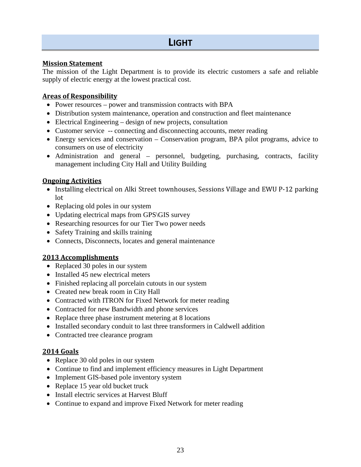#### **Mission Statement**

The mission of the Light Department is to provide its electric customers a safe and reliable supply of electric energy at the lowest practical cost.

#### **Areas of Responsibility**

- Power resources power and transmission contracts with BPA
- Distribution system maintenance, operation and construction and fleet maintenance
- Electrical Engineering design of new projects, consultation
- Customer service -- connecting and disconnecting accounts, meter reading
- Energy services and conservation Conservation program, BPA pilot programs, advice to consumers on use of electricity
- Administration and general personnel, budgeting, purchasing, contracts, facility management including City Hall and Utility Building

#### **Ongoing Activities**

- Installing electrical on Alki Street townhouses, Sessions Village and EWU P-12 parking lot
- Replacing old poles in our system
- Updating electrical maps from GPS\GIS survey
- Researching resources for our Tier Two power needs
- Safety Training and skills training
- Connects, Disconnects, locates and general maintenance

#### **2013 Accomplishments**

- Replaced 30 poles in our system
- Installed 45 new electrical meters
- Finished replacing all porcelain cutouts in our system
- Created new break room in City Hall
- Contracted with ITRON for Fixed Network for meter reading
- Contracted for new Bandwidth and phone services
- Replace three phase instrument metering at 8 locations
- Installed secondary conduit to last three transformers in Caldwell addition
- Contracted tree clearance program

#### **2014 Goals**

- Replace 30 old poles in our system
- Continue to find and implement efficiency measures in Light Department
- Implement GIS-based pole inventory system
- Replace 15 year old bucket truck
- Install electric services at Harvest Bluff
- Continue to expand and improve Fixed Network for meter reading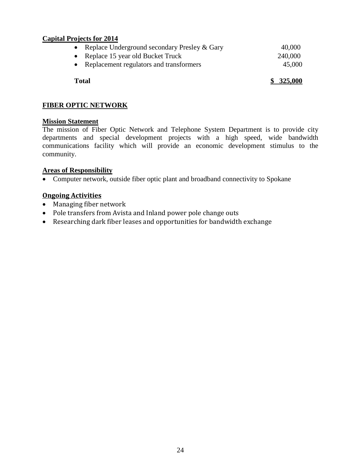#### **Capital Projects for 2014**

| • Replace Underground secondary Presley $&$ Gary | 40,000  |
|--------------------------------------------------|---------|
| • Replace 15 year old Bucket Truck               | 240,000 |
| • Replacement regulators and transformers        | 45,000  |
|                                                  |         |

**Total \$ 325,000**

#### **FIBER OPTIC NETWORK**

#### **Mission Statement**

The mission of Fiber Optic Network and Telephone System Department is to provide city departments and special development projects with a high speed, wide bandwidth communications facility which will provide an economic development stimulus to the community.

#### **Areas of Responsibility**

• Computer network, outside fiber optic plant and broadband connectivity to Spokane

### **Ongoing Activities**

- Managing fiber network
- Pole transfers from Avista and Inland power pole change outs
- Researching dark fiber leases and opportunities for bandwidth exchange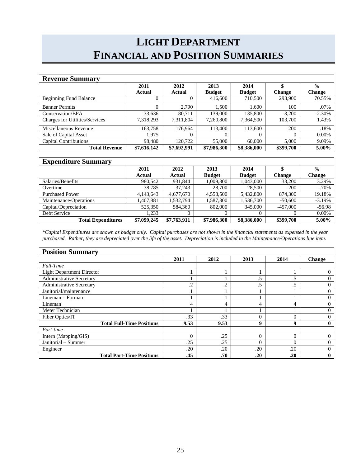# **LIGHT DEPARTMENT FINANCIAL AND POSITION SUMMARIES**

| <b>Revenue Summary</b>                |             |             |               |               |               |               |
|---------------------------------------|-------------|-------------|---------------|---------------|---------------|---------------|
|                                       | 2011        | 2012        | 2013          | 2014          |               | $\frac{6}{6}$ |
|                                       | Actual      | Actual      | <b>Budget</b> | <b>Budget</b> | <b>Change</b> | <b>Change</b> |
| <b>Beginning Fund Balance</b>         |             | $\theta$    | 416,600       | 710,500       | 293,900       | 70.55%        |
| <b>Banner Permits</b>                 |             | 2.790       | 1.500         | 1.600         | 100           | .07%          |
| Conservation/BPA                      | 33,636      | 80.711      | 139,000       | 135,800       | $-3,200$      | $-2.30%$      |
| <b>Charges for Utilities/Services</b> | 7,318,293   | 7,311,804   | 7,260,800     | 7,364,500     | 103,700       | 1.43%         |
| Miscellaneous Revenue                 | 163.758     | 176.964     | 113,400       | 113.600       | 200           | .18%          |
| Sale of Capital Asset                 | 1.975       | $\theta$    | $\Omega$      |               | 0             | $0.00\%$      |
| <b>Capital Contributions</b>          | 98,480      | 120,722     | 55,000        | 60,000        | 5.000         | 9.09%         |
| <b>Total Revenue</b>                  | \$7,616,142 | \$7,692,991 | \$7,986,300   | \$8,386,000   | \$399,700     | 5.00%         |

| <b>Expenditure Summary</b> |             |             |               |               |               |               |
|----------------------------|-------------|-------------|---------------|---------------|---------------|---------------|
|                            | 2011        | 2012        | 2013          | 2014          |               | $\frac{6}{6}$ |
|                            | Actual      | Actual      | <b>Budget</b> | <b>Budget</b> | <b>Change</b> | <b>Change</b> |
| Salaries/Benefits          | 980.542     | 931.844     | 1,009,800     | 1,043,000     | 33,200        | 3.29%         |
| Overtime                   | 38,785      | 37.243      | 28,700        | 28,500        | $-200$        | $-.70%$       |
| <b>Purchased Power</b>     | 4,143,643   | 4,677,670   | 4,558,500     | 5,432,800     | 874,300       | 19.18%        |
| Maintenance/Operations     | 1,407,881   | 1,532,794   | 1,587,300     | 1,536,700     | $-50,600$     | $-3.19%$      |
| Capital/Depreciation       | 525,350     | 584,360     | 802,000       | 345,000       | $-457,000$    | $-56.98$      |
| Debt Service               | 1.233       |             | $\Omega$      | 0             |               | 0.00%         |
| <b>Total Expenditures</b>  | \$7,099,245 | \$7,763,911 | \$7,986,300   | \$8,386,000   | \$399,700     | 5.00%         |

\**Capital Expenditures are shown as budget only. Capital purchases are not shown in the financial statements as expensed in the year purchased. Rather, they are depreciated over the life of the asset. Depreciation is included in the Maintenance/Operations line item.*

| <b>Position Summary</b>          |          |         |          |          |          |
|----------------------------------|----------|---------|----------|----------|----------|
|                                  | 2011     | 2012    | 2013     | 2014     | Change   |
| <b>Full-Time</b>                 |          |         |          |          |          |
| <b>Light Department Director</b> |          |         |          |          | $\Omega$ |
| <b>Administrative Secretary</b>  |          |         | .5       | .5       | 0        |
| <b>Administrative Secretary</b>  | $\cdot$  | $\cdot$ | .5       | .5       | $\Omega$ |
| Janitorial/maintenance           |          |         |          |          | $\Omega$ |
| Lineman – Forman                 |          |         |          |          | $\Omega$ |
| Lineman                          | 4        | 4       | 4        | 4        | $\Omega$ |
| Meter Technician                 |          |         |          |          | $\Omega$ |
| Fiber Optics/IT                  | .33      | .33     | 0        | 0        | $\Omega$ |
| <b>Total Full-Time Positions</b> | 9.53     | 9.53    | 9        | 9        | 0        |
| Part-time                        |          |         |          |          |          |
| Intern (Mapping/GIS)             | $\theta$ | .25     | $\Omega$ | $\theta$ | $\Omega$ |
| Janitorial - Summer              | .25      | .25     | $\Omega$ | 0        | $\Omega$ |
| Engineer                         | .20      | .20     | .20      | .20      | $\Omega$ |
| <b>Total Part-Time Positions</b> | .45      | .70     | .20      | .20      | 0        |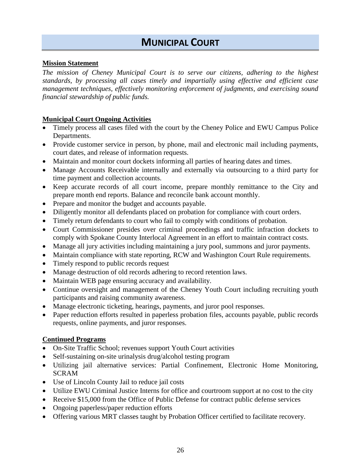# **MUNICIPAL COURT**

#### **Mission Statement**

*The mission of Cheney Municipal Court is to serve our citizens, adhering to the highest standards, by processing all cases timely and impartially using effective and efficient case management techniques, effectively monitoring enforcement of judgments, and exercising sound financial stewardship of public funds.* 

#### **Municipal Court Ongoing Activities**

- Timely process all cases filed with the court by the Cheney Police and EWU Campus Police Departments.
- Provide customer service in person, by phone, mail and electronic mail including payments, court dates, and release of information requests.
- Maintain and monitor court dockets informing all parties of hearing dates and times.
- Manage Accounts Receivable internally and externally via outsourcing to a third party for time payment and collection accounts.
- Keep accurate records of all court income, prepare monthly remittance to the City and prepare month end reports. Balance and reconcile bank account monthly.
- Prepare and monitor the budget and accounts payable.
- Diligently monitor all defendants placed on probation for compliance with court orders.
- Timely return defendants to court who fail to comply with conditions of probation.
- Court Commissioner presides over criminal proceedings and traffic infraction dockets to comply with Spokane County Interlocal Agreement in an effort to maintain contract costs.
- Manage all jury activities including maintaining a jury pool, summons and juror payments.
- Maintain compliance with state reporting, RCW and Washington Court Rule requirements.
- Timely respond to public records request
- Manage destruction of old records adhering to record retention laws.
- Maintain WEB page ensuring accuracy and availability.
- Continue oversight and management of the Cheney Youth Court including recruiting youth participants and raising community awareness.
- Manage electronic ticketing, hearings, payments, and juror pool responses.
- Paper reduction efforts resulted in paperless probation files, accounts payable, public records requests, online payments, and juror responses.

#### **Continued Programs**

- On-Site Traffic School; revenues support Youth Court activities
- Self-sustaining on-site urinalysis drug/alcohol testing program
- Utilizing jail alternative services: Partial Confinement, Electronic Home Monitoring, SCRAM
- Use of Lincoln County Jail to reduce jail costs
- Utilize EWU Criminal Justice Interns for office and courtroom support at no cost to the city
- Receive \$15,000 from the Office of Public Defense for contract public defense services
- Ongoing paperless/paper reduction efforts
- Offering various MRT classes taught by Probation Officer certified to facilitate recovery.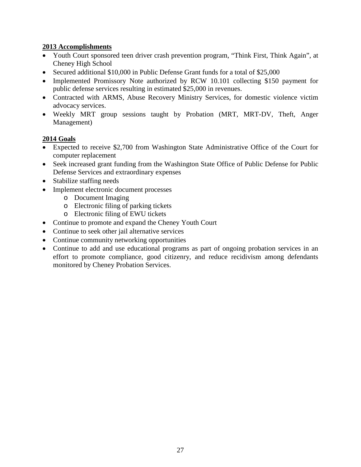#### **2013 Accomplishments**

- Youth Court sponsored teen driver crash prevention program, "Think First, Think Again", at Cheney High School
- Secured additional \$10,000 in Public Defense Grant funds for a total of \$25,000
- Implemented Promissory Note authorized by RCW 10.101 collecting \$150 payment for public defense services resulting in estimated \$25,000 in revenues.
- Contracted with ARMS, Abuse Recovery Ministry Services, for domestic violence victim advocacy services.
- Weekly MRT group sessions taught by Probation (MRT, MRT-DV, Theft, Anger Management)

#### **2014 Goals**

- Expected to receive \$2,700 from Washington State Administrative Office of the Court for computer replacement
- Seek increased grant funding from the Washington State Office of Public Defense for Public Defense Services and extraordinary expenses
- Stabilize staffing needs
- Implement electronic document processes
	- o Document Imaging
	- o Electronic filing of parking tickets
	- o Electronic filing of EWU tickets
- Continue to promote and expand the Cheney Youth Court
- Continue to seek other jail alternative services
- Continue community networking opportunities
- Continue to add and use educational programs as part of ongoing probation services in an effort to promote compliance, good citizenry, and reduce recidivism among defendants monitored by Cheney Probation Services.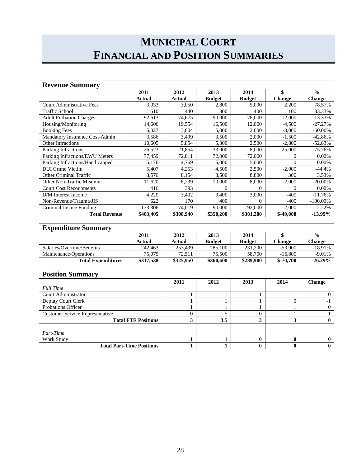# **MUNICIPAL COURT FINANCIAL AND POSITION SUMMARIES**

| <b>Revenue Summary</b>           |           |           |               |               |               |               |
|----------------------------------|-----------|-----------|---------------|---------------|---------------|---------------|
|                                  | 2011      | 2012      | 2013          | 2014          | \$            | $\frac{0}{0}$ |
|                                  | Actual    | Actual    | <b>Budget</b> | <b>Budget</b> | <b>Change</b> | <b>Change</b> |
| <b>Court Administrative Fees</b> | 3,033     | 3,050     | 2,800         | 5,000         | 2,200         | 78.57%        |
| <b>Traffic School</b>            | 610       | 440       | 300           | 400           | 100           | 33.33%        |
| <b>Adult Probation Charges</b>   | 92,613    | 74,675    | 90,000        | 78,000        | $-12,000$     | $-13.33\%$    |
| Housing/Monitoring               | 14,606    | 19,554    | 16,500        | 12,000        | $-4,500$      | $-27.27%$     |
| <b>Booking Fees</b>              | 5,027     | 3,804     | 5,000         | 2,000         | $-3,000$      | $-60.00\%$    |
| Mandatory Insurance Cost-Admin   | 3,586     | 3,499     | 3,500         | 2,000         | $-1,500$      | $-42.86%$     |
| <b>Other Infractions</b>         | 10,605    | 5,854     | 5,300         | 2,500         | $-2,800$      | $-52.83%$     |
| Parking Infractions              | 26,523    | 21,854    | 33,000        | 8,000         | $-25,000$     | $-75.76%$     |
| Parking Infractions/EWU Meters   | 77,459    | 72,811    | 72,000        | 72,000        | $\Omega$      | $0.00\%$      |
| Parking Infractions/Handicapped  | 5,176     | 4,769     | 5.000         | 5,000         | $\Omega$      | $0.00\%$      |
| <b>DUI Crime Victim</b>          | 5,407     | 4,253     | 4,500         | 2,500         | $-2,000$      | $-44.4%$      |
| <b>Other Criminal Traffic</b>    | 8,576     | 8,154     | 8,500         | 8,800         | 300           | 3.53%         |
| Other Non-Traffic Misdmnr        | 11,620    | 8,239     | 10.000        | 8,000         | $-2,000$      | $-20.00\%$    |
| <b>Court Cost Recoupments</b>    | 416       | 393       | $\Omega$      | 0             | $\Omega$      | $0.00\%$      |
| D/M Interest Income              | 4,220     | 3,402     | 3,400         | 3,000         | $-400$        | $-11.76%$     |
| Non-Revenue/Trauma/JIS           | 622       | 170       | 400           | $\Omega$      | $-400$        | $-100.00\%$   |
| Criminal Justice Funding         | 133,306   | 74,019    | 90,000        | 92,000        | 2,000         | 2.22%         |
| <b>Total Revenue</b>             | \$403,405 | \$308,940 | \$350,200     | \$301,200     | $$-49,000$    | $-13.99\%$    |

### **Expenditure Summary**

| ежрениците вишнит у        |           |           |               |               |               |               |
|----------------------------|-----------|-----------|---------------|---------------|---------------|---------------|
|                            | 2011      | 2012      | 2013          | 2014          |               | $\frac{0}{0}$ |
|                            | Actual    | Actual    | <b>Budget</b> | <b>Budget</b> | <b>Change</b> | <b>Change</b> |
| Salaries/Overtime/Benefits | 242,463   | 253.439   | 285,100       | 231,200       | $-53,900$     | $-18.91%$     |
| Maintenance/Operations     | 75,075    | 72.511    | 75,500        | 58,700        | $-16,800$     | $-9.01%$      |
| <b>Total Expenditures</b>  | \$317.538 | \$325,950 | \$360,600     | \$289,900     | $$-70,700$    | $-26.29\%$    |

| <b>Position Summary</b>                |      |      |      |      |        |
|----------------------------------------|------|------|------|------|--------|
|                                        | 2011 | 2012 | 2013 | 2014 | Change |
| <b>Full Time</b>                       |      |      |      |      |        |
| Court Administrator                    |      |      |      |      |        |
| Deputy Court Clerk                     |      |      |      |      |        |
| Probations Officer                     |      |      |      |      |        |
| <b>Customer Service Representative</b> | U    |      | U    |      |        |
| <b>Total FTE Positions</b>             | 3    | 3.5  | 3    |      |        |
|                                        |      |      |      |      |        |
| Part-Time                              |      |      |      |      |        |
| Work Study                             |      |      | 0    | 0    |        |
| <b>Total Part-Time Positions</b>       |      |      | 0    |      |        |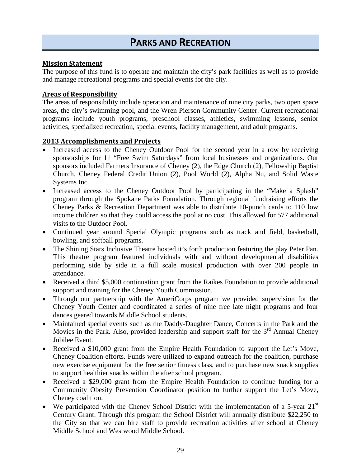# **PARKS AND RECREATION**

#### **Mission Statement**

The purpose of this fund is to operate and maintain the city's park facilities as well as to provide and manage recreational programs and special events for the city.

#### **Areas of Responsibility**

The areas of responsibility include operation and maintenance of nine city parks, two open space areas, the city's swimming pool, and the Wren Pierson Community Center. Current recreational programs include youth programs, preschool classes, athletics, swimming lessons, senior activities, specialized recreation, special events, facility management, and adult programs.

#### **2013 Accomplishments and Projects**

- Increased access to the Cheney Outdoor Pool for the second year in a row by receiving sponsorships for 11 "Free Swim Saturdays" from local businesses and organizations. Our sponsors included Farmers Insurance of Cheney (2), the Edge Church (2), Fellowship Baptist Church, Cheney Federal Credit Union (2), Pool World (2), Alpha Nu, and Solid Waste Systems Inc.
- Increased access to the Cheney Outdoor Pool by participating in the "Make a Splash" program through the Spokane Parks Foundation. Through regional fundraising efforts the Cheney Parks & Recreation Department was able to distribute 10-punch cards to 110 low income children so that they could access the pool at no cost. This allowed for 577 additional visits to the Outdoor Pool.
- Continued year around Special Olympic programs such as track and field, basketball, bowling, and softball programs.
- The Shining Stars Inclusive Theatre hosted it's forth production featuring the play Peter Pan. This theatre program featured individuals with and without developmental disabilities performing side by side in a full scale musical production with over 200 people in attendance.
- Received a third \$5,000 continuation grant from the Raikes Foundation to provide additional support and training for the Cheney Youth Commission.
- Through our partnership with the AmeriCorps program we provided supervision for the Cheney Youth Center and coordinated a series of nine free late night programs and four dances geared towards Middle School students.
- Maintained special events such as the Daddy-Daughter Dance, Concerts in the Park and the Movies in the Park. Also, provided leadership and support staff for the  $3<sup>rd</sup>$  Annual Cheney Jubilee Event.
- Received a \$10,000 grant from the Empire Health Foundation to support the Let's Move, Cheney Coalition efforts. Funds were utilized to expand outreach for the coalition, purchase new exercise equipment for the free senior fitness class, and to purchase new snack supplies to support healthier snacks within the after school program.
- Received a \$29,000 grant from the Empire Health Foundation to continue funding for a Community Obesity Prevention Coordinator position to further support the Let's Move, Cheney coalition.
- We participated with the Cheney School District with the implementation of a 5-year  $21<sup>st</sup>$ Century Grant. Through this program the School District will annually distribute \$22,250 to the City so that we can hire staff to provide recreation activities after school at Cheney Middle School and Westwood Middle School.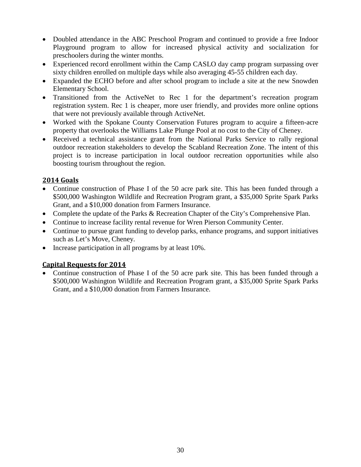- Doubled attendance in the ABC Preschool Program and continued to provide a free Indoor Playground program to allow for increased physical activity and socialization for preschoolers during the winter months.
- Experienced record enrollment within the Camp CASLO day camp program surpassing over sixty children enrolled on multiple days while also averaging 45-55 children each day.
- Expanded the ECHO before and after school program to include a site at the new Snowden Elementary School.
- Transitioned from the ActiveNet to Rec 1 for the department's recreation program registration system. Rec 1 is cheaper, more user friendly, and provides more online options that were not previously available through ActiveNet.
- Worked with the Spokane County Conservation Futures program to acquire a fifteen-acre property that overlooks the Williams Lake Plunge Pool at no cost to the City of Cheney.
- Received a technical assistance grant from the National Parks Service to rally regional outdoor recreation stakeholders to develop the Scabland Recreation Zone. The intent of this project is to increase participation in local outdoor recreation opportunities while also boosting tourism throughout the region.

### **2014 Goals**

- Continue construction of Phase I of the 50 acre park site. This has been funded through a \$500,000 Washington Wildlife and Recreation Program grant, a \$35,000 Sprite Spark Parks Grant, and a \$10,000 donation from Farmers Insurance.
- Complete the update of the Parks & Recreation Chapter of the City's Comprehensive Plan.
- Continue to increase facility rental revenue for Wren Pierson Community Center.
- Continue to pursue grant funding to develop parks, enhance programs, and support initiatives such as Let's Move, Cheney.
- Increase participation in all programs by at least 10%.

### **Capital Requests for 2014**

• Continue construction of Phase I of the 50 acre park site. This has been funded through a \$500,000 Washington Wildlife and Recreation Program grant, a \$35,000 Sprite Spark Parks Grant, and a \$10,000 donation from Farmers Insurance.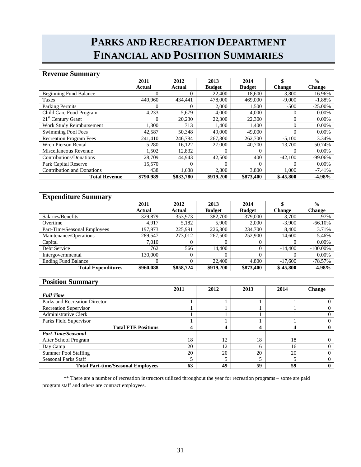# **PARKS AND RECREATION DEPARTMENT FINANCIAL AND POSITION SUMMARIES**

| <b>Revenue Summary</b>            |           |           |               |               |               |               |
|-----------------------------------|-----------|-----------|---------------|---------------|---------------|---------------|
|                                   | 2011      | 2012      | 2013          | 2014          | \$            | $\frac{0}{0}$ |
|                                   | Actual    | Actual    | <b>Budget</b> | <b>Budget</b> | <b>Change</b> | <b>Change</b> |
| <b>Beginning Fund Balance</b>     |           | $\Omega$  | 22,400        | 18,600        | $-3,800$      | $-16.96\%$    |
| Taxes                             | 449,960   | 434.441   | 478,000       | 469,000       | $-9,000$      | $-1.88%$      |
| <b>Parking Permits</b>            |           | $\Omega$  | 2.000         | 1.500         | $-500$        | $-25.00\%$    |
| Child Care Food Program           | 4,233     | 5,679     | 4,000         | 4,000         | 0             | $0.00\%$      |
| $21st$ Century Grant              |           | 20,230    | 22,300        | 22,300        | $\Omega$      | $0.00\%$      |
| Work Study Reimbursement          | 1.300     | 713       | 1.400         | 1.400         | $\theta$      | $0.00\%$      |
| <b>Swimming Pool Fees</b>         | 42,587    | 50,348    | 49,000        | 49,000        | $\Omega$      | $0.00\%$      |
| <b>Recreation Program Fees</b>    | 241,410   | 246,784   | 267,800       | 262,700       | $-5,100$      | 3.34%         |
| <b>Wren Pierson Rental</b>        | 5,280     | 16,122    | 27,000        | 40,700        | 13,700        | 50.74%        |
| Miscellaneous Revenue             | 1,502     | 12,832    | $\Omega$      | 0             |               | $0.00\%$      |
| Contributions/Donations           | 28,709    | 44,943    | 42,500        | 400           | $-42,100$     | $-99.06\%$    |
| Park Capital Reserve              | 15,570    | $\Omega$  | $\Omega$      | $\Omega$      | 0             | $0.00\%$      |
| <b>Contribution and Donations</b> | 438       | 1,688     | 2,800         | 3,800         | 1.000         | $-7.41%$      |
| <b>Total Revenue</b>              | \$790.989 | \$833,780 | \$919,200     | \$873,400     | $$-45,800$    | $-4.98%$      |

| <b>Expenditure Summary</b>   |           |           |               |               |               |               |
|------------------------------|-----------|-----------|---------------|---------------|---------------|---------------|
|                              | 2011      | 2012      | 2013          | 2014          |               | $\frac{0}{0}$ |
|                              | Actual    | Actual    | <b>Budget</b> | <b>Budget</b> | <b>Change</b> | <b>Change</b> |
| Salaries/Benefits            | 329,879   | 353,973   | 382,700       | 379,000       | $-3,700$      | $-0.97\%$     |
| Overtime                     | 4.917     | 5,182     | 5,900         | 2,000         | $-3,900$      | $-66.10%$     |
| Part-Time/Seasonal Employees | 197.973   | 225.991   | 226,300       | 234,700       | 8,400         | 3.71%         |
| Maintenance/Operations       | 289,547   | 273,012   | 267,500       | 252,900       | $-14,600$     | $-5.46%$      |
| Capital                      | 7.010     | 0         |               | $\Omega$      |               | $0.00\%$      |
| Debt Service                 | 762       | 566       | 14,400        | $\Omega$      | $-14,400$     | $-100.00\%$   |
| Intergovernmental            | 130,000   | 0         |               | $\Omega$      |               | $0.00\%$      |
| <b>Ending Fund Balance</b>   | 0         | $\Omega$  | 22,400        | 4.800         | $-17,600$     | $-78.57%$     |
| <b>Total Expenditures</b>    | \$960,088 | \$858,724 | \$919,200     | \$873.400     | $$-45.800$    | $-4.98%$      |

| <b>Position Summary</b>                   |      |      |      |      |               |
|-------------------------------------------|------|------|------|------|---------------|
|                                           | 2011 | 2012 | 2013 | 2014 | <b>Change</b> |
| <b>Full Time</b>                          |      |      |      |      |               |
| Parks and Recreation Director             |      |      |      |      |               |
| <b>Recreation Supervisor</b>              |      |      |      |      |               |
| <b>Administrative Clerk</b>               |      |      |      |      |               |
| Parks Field Supervisor                    |      |      |      |      |               |
| <b>Total FTE Positions</b>                | 4    | 4    | 4    |      |               |
| <b>Part-Time/Seasonal</b>                 |      |      |      |      |               |
| After School Program                      | 18   | 12   | 18   | 18   |               |
| Day Camp                                  | 20   | 12   | 16   | 16   |               |
| <b>Summer Pool Staffing</b>               | 20   | 20   | 20   | 20   |               |
| <b>Seasonal Parks Staff</b>               |      |      | 5    |      |               |
| <b>Total Part-time/Seasonal Employees</b> | 63   | 49   | 59   | 59   |               |

\*\* There are a number of recreation instructors utilized throughout the year for recreation programs – some are paid program staff and others are contract employees.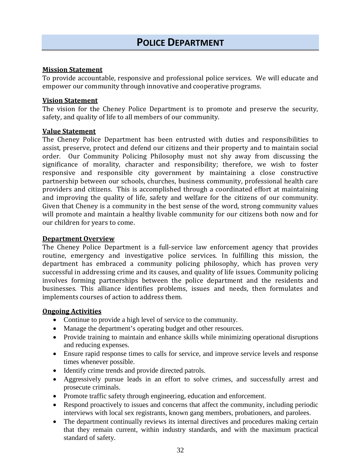#### **Mission Statement**

To provide accountable, responsive and professional police services. We will educate and empower our community through innovative and cooperative programs.

#### **Vision Statement**

The vision for the Cheney Police Department is to promote and preserve the security, safety, and quality of life to all members of our community.

#### **Value Statement**

The Cheney Police Department has been entrusted with duties and responsibilities to assist, preserve, protect and defend our citizens and their property and to maintain social order. Our Community Policing Philosophy must not shy away from discussing the significance of morality, character and responsibility; therefore, we wish to foster responsive and responsible city government by maintaining a close constructive partnership between our schools, churches, business community, professional health care providers and citizens. This is accomplished through a coordinated effort at maintaining and improving the quality of life, safety and welfare for the citizens of our community. Given that Cheney is a community in the best sense of the word, strong community values will promote and maintain a healthy livable community for our citizens both now and for our children for years to come.

#### **Department Overview**

The Cheney Police Department is a full-service law enforcement agency that provides routine, emergency and investigative police services. In fulfilling this mission, the department has embraced a community policing philosophy, which has proven very successful in addressing crime and its causes, and quality of life issues. Community policing involves forming partnerships between the police department and the residents and businesses. This alliance identifies problems, issues and needs, then formulates and implements courses of action to address them.

#### **Ongoing Activities**

- Continue to provide a high level of service to the community.
- Manage the department's operating budget and other resources.
- Provide training to maintain and enhance skills while minimizing operational disruptions and reducing expenses.
- Ensure rapid response times to calls for service, and improve service levels and response times whenever possible.
- Identify crime trends and provide directed patrols.
- Aggressively pursue leads in an effort to solve crimes, and successfully arrest and prosecute criminals.
- Promote traffic safety through engineering, education and enforcement.
- Respond proactively to issues and concerns that affect the community, including periodic interviews with local sex registrants, known gang members, probationers, and parolees.
- The department continually reviews its internal directives and procedures making certain that they remain current, within industry standards, and with the maximum practical standard of safety.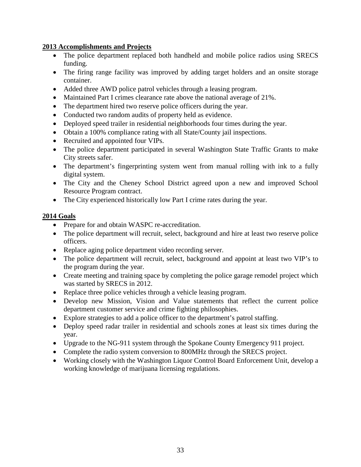#### **2013 Accomplishments and Projects**

- The police department replaced both handheld and mobile police radios using SRECS funding.
- The firing range facility was improved by adding target holders and an onsite storage container.
- Added three AWD police patrol vehicles through a leasing program.
- Maintained Part I crimes clearance rate above the national average of 21%.
- The department hired two reserve police officers during the year.
- Conducted two random audits of property held as evidence.
- Deployed speed trailer in residential neighborhoods four times during the year.
- Obtain a 100% compliance rating with all State/County jail inspections.
- Recruited and appointed four VIPs.
- The police department participated in several Washington State Traffic Grants to make City streets safer.
- The department's fingerprinting system went from manual rolling with ink to a fully digital system.
- The City and the Cheney School District agreed upon a new and improved School Resource Program contract.
- The City experienced historically low Part I crime rates during the year.

#### **2014 Goals**

- Prepare for and obtain WASPC re-accreditation.
- The police department will recruit, select, background and hire at least two reserve police officers.
- Replace aging police department video recording server.
- The police department will recruit, select, background and appoint at least two VIP's to the program during the year.
- Create meeting and training space by completing the police garage remodel project which was started by SRECS in 2012.
- Replace three police vehicles through a vehicle leasing program.
- Develop new Mission, Vision and Value statements that reflect the current police department customer service and crime fighting philosophies.
- Explore strategies to add a police officer to the department's patrol staffing.
- Deploy speed radar trailer in residential and schools zones at least six times during the year.
- Upgrade to the NG-911 system through the Spokane County Emergency 911 project.
- Complete the radio system conversion to 800MHz through the SRECS project.
- Working closely with the Washington Liquor Control Board Enforcement Unit, develop a working knowledge of marijuana licensing regulations.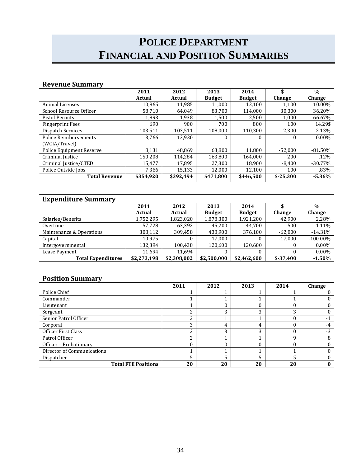# **POLICE DEPARTMENT FINANCIAL AND POSITION SUMMARIES**

| <b>Revenue Summary</b>   |           |           |               |               |            |               |
|--------------------------|-----------|-----------|---------------|---------------|------------|---------------|
|                          | 2011      | 2012      | 2013          | 2014          | \$         | $\frac{0}{0}$ |
|                          | Actual    | Actual    | <b>Budget</b> | <b>Budget</b> | Change     | Change        |
| <b>Animal Licenses</b>   | 10.865    | 11,985    | 11,000        | 12,100        | 1,100      | 10.00%        |
| School Resource Officer  | 58.710    | 64.049    | 83,700        | 114,000       | 30,300     | 36.20%        |
| <b>Pistol Permits</b>    | 1.893     | 1,938     | 1,500         | 2.500         | 1,000      | 66.67%        |
| <b>Fingerprint Fees</b>  | 690       | 900       | 700           | 800           | 100        | 14.29\$       |
| <b>Dispatch Services</b> | 103,511   | 103,511   | 108,000       | 110,300       | 2,300      | 2.13%         |
| Police Reimbursements    | 3.766     | 13,930    | $\Omega$      | 0             | $\Omega$   | $0.00\%$      |
| (WCIA/Travel)            |           |           |               |               |            |               |
| Police Equipment Reserve | 8,131     | 48,869    | 63,800        | 11,800        | $-52,000$  | $-81.50%$     |
| Criminal Justice         | 150.208   | 114,284   | 163.800       | 164.000       | 200        | $.12\%$       |
| Criminal Justice/CTED    | 15,477    | 17,895    | 27,300        | 18,900        | $-8,400$   | $-30.77%$     |
| Police Outside Jobs      | 7.366     | 15.133    | 12.000        | 12.100        | 100        | .83%          |
| <b>Total Revenue</b>     | \$354.920 | \$392,494 | \$471,800     | \$446,500     | $$-25,300$ | $-5.36%$      |

| <b>Expenditure Summary</b> |             |               |               |               |            |             |
|----------------------------|-------------|---------------|---------------|---------------|------------|-------------|
|                            | 2011        | 2012          | 2013          | 2014          |            | $\%$        |
|                            | Actual      | <b>Actual</b> | <b>Budget</b> | <b>Budget</b> | Change     | Change      |
| Salaries/Benefits          | 1,752,295   | 1,823,020     | 1,878,300     | 1,921,200     | 42,900     | 2.28%       |
| Overtime                   | 57,728      | 63,392        | 45,200        | 44.700        | $-500$     | $-1.11\%$   |
| Maintenance & Operations   | 308,112     | 309,458       | 438,900       | 376,100       | $-62,800$  | $-14.31%$   |
| Capital                    | 10.975      | $\theta$      | 17,000        |               | $-17,000$  | $-100.00\%$ |
| Intergovernmental          | 132.394     | 100.438       | 120,600       | 120,600       |            | $0.00\%$    |
| Lease Payment              | 11,694      | 11,694        |               |               |            | $0.00\%$    |
| <b>Total Expenditures</b>  | \$2,273,198 | \$2,308,002   | \$2,500,000   | \$2,462,600   | $$-37,400$ | $-1.50%$    |

| <b>Position Summary</b>    |      |      |      |      |        |
|----------------------------|------|------|------|------|--------|
|                            | 2011 | 2012 | 2013 | 2014 | Change |
| Police Chief               |      |      |      |      |        |
| Commander                  |      |      |      |      |        |
| Lieutenant                 |      |      | 0    |      |        |
| Sergeant                   | っ    | 3    | 3    | 3    |        |
| Senior Patrol Officer      | ŋ    |      |      |      | $-1$   |
| Corporal                   | 3    | 4    | 4    |      | -4     |
| Officer First Class        | ŋ    | 3    | 3    |      | $-3$   |
| Patrol Officer             | っ    |      |      | a    | 8      |
| Officer - Probationary     |      |      |      |      |        |
| Director of Communications |      |      |      |      |        |
| Dispatcher                 | 5    |      | 5    |      |        |
| <b>Total FTE Positions</b> | 20   | 20   | 20   | 20   |        |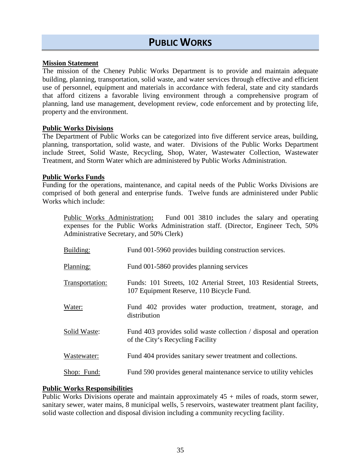# **PUBLIC WORKS**

#### **Mission Statement**

The mission of the Cheney Public Works Department is to provide and maintain adequate building, planning, transportation, solid waste, and water services through effective and efficient use of personnel, equipment and materials in accordance with federal, state and city standards that afford citizens a favorable living environment through a comprehensive program of planning, land use management, development review, code enforcement and by protecting life, property and the environment.

#### **Public Works Divisions**

The Department of Public Works can be categorized into five different service areas, building, planning, transportation, solid waste, and water. Divisions of the Public Works Department include Street, Solid Waste, Recycling, Shop, Water, Wastewater Collection, Wastewater Treatment, and Storm Water which are administered by Public Works Administration.

#### **Public Works Funds**

Funding for the operations, maintenance, and capital needs of the Public Works Divisions are comprised of both general and enterprise funds. Twelve funds are administered under Public Works which include:

Public Works Administration**:** Fund 001 3810 includes the salary and operating expenses for the Public Works Administration staff. (Director, Engineer Tech, 50% Administrative Secretary, and 50% Clerk)

| Building:       | Fund 001-5960 provides building construction services.                                                        |
|-----------------|---------------------------------------------------------------------------------------------------------------|
| Planning:       | Fund 001-5860 provides planning services                                                                      |
| Transportation: | Funds: 101 Streets, 102 Arterial Street, 103 Residential Streets,<br>107 Equipment Reserve, 110 Bicycle Fund. |
| Water:          | Fund 402 provides water production, treatment, storage, and<br>distribution                                   |
| Solid Waste:    | Fund 403 provides solid waste collection / disposal and operation<br>of the City's Recycling Facility         |
| Wastewater:     | Fund 404 provides sanitary sewer treatment and collections.                                                   |
| Shop: Fund:     | Fund 590 provides general maintenance service to utility vehicles                                             |

#### **Public Works Responsibilities**

Public Works Divisions operate and maintain approximately  $45 +$  miles of roads, storm sewer, sanitary sewer, water mains, 8 municipal wells, 5 reservoirs, wastewater treatment plant facility, solid waste collection and disposal division including a community recycling facility.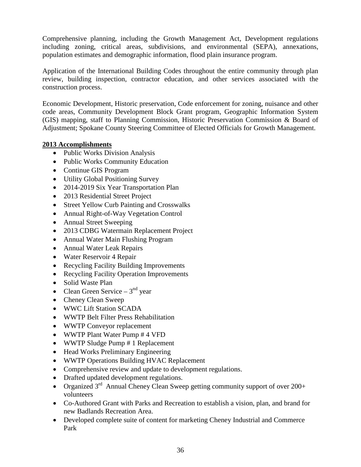Comprehensive planning, including the Growth Management Act, Development regulations including zoning, critical areas, subdivisions, and environmental (SEPA), annexations, population estimates and demographic information, flood plain insurance program.

Application of the International Building Codes throughout the entire community through plan review, building inspection, contractor education, and other services associated with the construction process.

Economic Development, Historic preservation, Code enforcement for zoning, nuisance and other code areas, Community Development Block Grant program, Geographic Information System (GIS) mapping, staff to Planning Commission, Historic Preservation Commission & Board of Adjustment; Spokane County Steering Committee of Elected Officials for Growth Management.

#### **2013 Accomplishments**

- Public Works Division Analysis
- Public Works Community Education
- Continue GIS Program
- Utility Global Positioning Survey
- 2014-2019 Six Year Transportation Plan
- 2013 Residential Street Project
- Street Yellow Curb Painting and Crosswalks
- Annual Right-of-Way Vegetation Control
- Annual Street Sweeping
- 2013 CDBG Watermain Replacement Project
- Annual Water Main Flushing Program
- Annual Water Leak Repairs
- Water Reservoir 4 Repair
- Recycling Facility Building Improvements
- Recycling Facility Operation Improvements
- Solid Waste Plan
- Clean Green Service  $3<sup>nd</sup>$  year
- Cheney Clean Sweep
- WWC Lift Station SCADA
- WWTP Belt Filter Press Rehabilitation
- WWTP Conveyor replacement
- WWTP Plant Water Pump # 4 VFD
- WWTP Sludge Pump # 1 Replacement
- Head Works Preliminary Engineering
- WWTP Operations Building HVAC Replacement
- Comprehensive review and update to development regulations.
- Drafted updated development regulations.
- Organized  $3^{rd}$  Annual Cheney Clean Sweep getting community support of over 200+ volunteers
- Co-Authored Grant with Parks and Recreation to establish a vision, plan, and brand for new Badlands Recreation Area.
- Developed complete suite of content for marketing Cheney Industrial and Commerce Park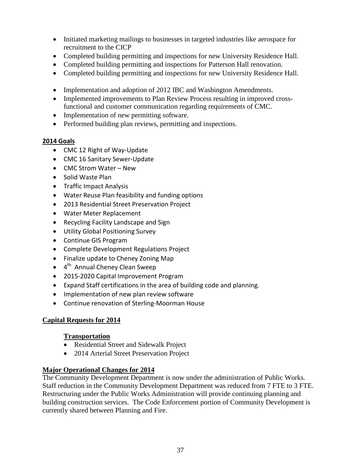- Initiated marketing mailings to businesses in targeted industries like aerospace for recruitment to the CICP
- Completed building permitting and inspections for new University Residence Hall.
- Completed building permitting and inspections for Patterson Hall renovation.
- Completed building permitting and inspections for new University Residence Hall.
- Implementation and adoption of 2012 IBC and Washington Amendments.
- Implemented improvements to Plan Review Process resulting in improved crossfunctional and customer communication regarding requirements of CMC.
- Implementation of new permitting software.
- Performed building plan reviews, permitting and inspections.

#### **2014 Goals**

- CMC 12 Right of Way-Update
- CMC 16 Sanitary Sewer-Update
- CMC Strom Water New
- Solid Waste Plan
- Traffic Impact Analysis
- Water Reuse Plan feasibility and funding options
- 2013 Residential Street Preservation Project
- Water Meter Replacement
- Recycling Facility Landscape and Sign
- Utility Global Positioning Survey
- Continue GIS Program
- Complete Development Regulations Project
- Finalize update to Cheney Zoning Map
- 4<sup>th</sup> Annual Cheney Clean Sweep
- 2015-2020 Capital Improvement Program
- Expand Staff certifications in the area of building code and planning.
- Implementation of new plan review software
- Continue renovation of Sterling-Moorman House

#### **Capital Requests for 2014**

#### **Transportation**

- Residential Street and Sidewalk Project
- 2014 Arterial Street Preservation Project

#### **Major Operational Changes for 2014**

The Community Development Department is now under the administration of Public Works. Staff reduction in the Community Development Department was reduced from 7 FTE to 3 FTE. Restructuring under the Public Works Administration will provide continuing planning and building construction services. The Code Enforcement portion of Community Development is currently shared between Planning and Fire.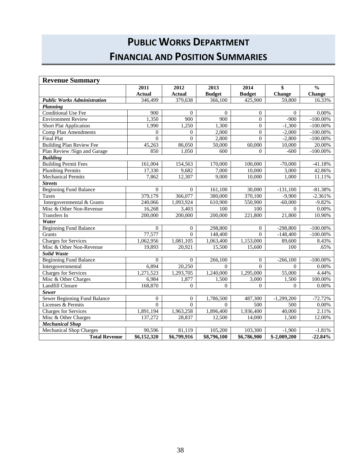# **PUBLIC WORKS DEPARTMENT FINANCIAL AND POSITION SUMMARIES**

| <b>Revenue Summary</b>             |                  |                |                |                |                           |               |
|------------------------------------|------------------|----------------|----------------|----------------|---------------------------|---------------|
|                                    | 2011             | 2012           | 2013           | 2014           | \$                        | $\frac{0}{0}$ |
|                                    | <b>Actual</b>    | <b>Actual</b>  | <b>Budget</b>  | <b>Budget</b>  | Change                    | Change        |
| <b>Public Works Administration</b> | 346,499          | 379,638        | 366,100        | 425,900        | 59,800                    | 16.33%        |
| Planning                           |                  |                |                |                |                           |               |
| <b>Conditional Use Fee</b>         | $\overline{900}$ | $\overline{0}$ | $\overline{0}$ | $\overline{0}$ | $\mathbf{0}$              | $0.00\%$      |
| <b>Environment Review</b>          | 1,350            | 900            | 900            | $\mathbf{0}$   | $-900$                    | $-100.00\%$   |
| <b>Short Plat Application</b>      | 1,990            | 1,250          | 1,300          | $\Omega$       | $-1,300$                  | $-100.00\%$   |
| <b>Comp Plan Amendments</b>        | $\Omega$         | $\theta$       | 2,000          | $\mathbf{0}$   | $-2,000$                  | $-100.00\%$   |
| <b>Final Plat</b>                  | $\Omega$         | $\Omega$       | 2,800          | $\Omega$       | $-2,800$                  | $-100.00\%$   |
| <b>Building Plan Review Fee</b>    | 45,263           | 86,050         | 50,000         | 60,000         | 10,000                    | 20.00%        |
| Plan Review /Sign and Garage       | 850              | 1,050          | 600            | $\overline{0}$ | $-600$                    | $-100.00\%$   |
| <b>Building</b>                    |                  |                |                |                |                           |               |
| <b>Building Permit Fees</b>        | 161,004          | 154,563        | 170,000        | 100,000        | $-70,000$                 | $-41.18%$     |
| <b>Plumbing Permits</b>            | 17,330           | 9,682          | 7,000          | 10,000         | 3,000                     | 42.86%        |
| <b>Mechanical Permits</b>          | 7,862            | 12,307         | 9,000          | 10,000         | 1,000                     | 11.11%        |
| <b>Streets</b>                     |                  |                |                |                |                           |               |
| <b>Beginning Fund Balance</b>      | $\theta$         | $\theta$       | 161,100        | 30,000         | $-131,100$                | $-81.38%$     |
| <b>Taxes</b>                       | 379,179          | 366,077        | 380,000        | 370,100        | $-9,900$                  | $-2.361%$     |
| Intergovernmental & Grants         | 240,066          | 1,093,924      | 610,900        | 550,900        | $-60,000$                 | $-9.82%$      |
| Misc & Other Non-Revenue           | 16,268           | 3,403          | 100            | 100            | $\Omega$                  | $0.00\%$      |
| <b>Transfers</b> In                | 200,000          | 200,000        | 200,000        | 221,800        | 21,800                    | 10.90%        |
| Water                              |                  |                |                |                |                           |               |
| <b>Beginning Fund Balance</b>      | $\Omega$         | $\theta$       | 298,800        | $\Omega$       | $-298,800$                | $-100.00\%$   |
| Grants                             | 77,577           | $\Omega$       | 148,400        | $\Omega$       | $-148,400$                | $-100.00\%$   |
| <b>Charges for Services</b>        | 1,062,956        | 1,081,105      | 1,063,400      | 1,153,000      | 89,600                    | 8.43%         |
| Misc & Other Non-Revenue           | 19,893           | 20.921         | 15,500         | 15,600         | 100                       | .65%          |
| <b>Solid Waste</b>                 |                  |                |                |                |                           |               |
| <b>Beginning Fund Balance</b>      | $\Omega$         | $\Omega$       | 266,100        | $\Omega$       | $-266,100$                | $-100.00\%$   |
| Intergovernmental                  | 6,894            | 20,250         | $\Omega$       | $\Omega$       | $\Omega$                  | 0.00%         |
| Charges for Services               | 1,271,523        | 1,293,705      | 1,240,000      | 1,295,000      | 55,000                    | 4.44%         |
| Misc & Other Charges               | 6,984            | 1,877          | 1,500          | 3,000          | 1,500                     | 100.00%       |
| <b>Landfill Closure</b>            | 168,870          | $\overline{0}$ | $\overline{0}$ | $\overline{0}$ | $\Omega$                  | $0.00\%$      |
| <b>Sewer</b>                       |                  |                |                |                |                           |               |
| Sewer Beginning Fund Balance       | $\Omega$         | $\Omega$       | 1,786,500      | 487,300        | $-1,299,200$              | $-72.72%$     |
| Licenses & Permits                 | $\Omega$         | $\Omega$       | $\Omega$       | 500            | 500                       | 0.00%         |
| <b>Charges for Services</b>        | 1,891,194        | 1,963,258      | 1,896,400      | 1,936,400      | 40,000                    | 2.11%         |
| Misc & Other Charges               | 137,272          | 28,837         | 12,500         | 14,000         | 1,500                     | 12.00%        |
| <b>Mechanical Shop</b>             |                  |                |                |                |                           |               |
| <b>Mechanical Shop Charges</b>     | 90.596           | 81,119         | 105,200        | 103,300        | $-1,900$                  | $-1.81%$      |
| <b>Total Revenue</b>               | \$6,152,320      | \$6,799,916    | \$8,796,100    | \$6,786,900    | $\overline{\$-2,009,200}$ | $-22.84%$     |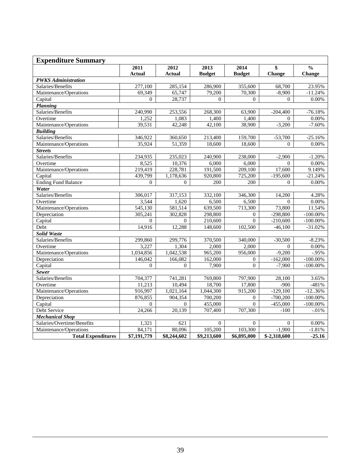| <b>Expenditure Summary</b> |                |                |               |               |               |               |
|----------------------------|----------------|----------------|---------------|---------------|---------------|---------------|
|                            | 2011           | 2012           | 2013          | 2014          | \$            | $\frac{0}{0}$ |
|                            | <b>Actual</b>  | <b>Actual</b>  | <b>Budget</b> | <b>Budget</b> | Change        | Change        |
| <b>PWKS</b> Administration |                |                |               |               |               |               |
| Salaries/Benefits          | 277,100        | 285,154        | 286,900       | 355,600       | 68,700        | 23.95%        |
| Maintenance/Operations     | 69,349         | 65,747         | 79,200        | 70,300        | $-8,900$      | $-11.24%$     |
| Capital                    | $\Omega$       | 28,737         | $\Omega$      | $\Omega$      | $\Omega$      | 0.00%         |
| Planning                   |                |                |               |               |               |               |
| Salaries/Benefits          | 240,990        | 253,556        | 268,300       | 63,900        | $-204,400$    | $-76.18%$     |
| Overtime                   | 1,252          | 1,083          | 1,400         | 1,400         | $\Omega$      | 0.00%         |
| Maintenance/Operations     | 39,531         | 42,248         | 42,100        | 38,900        | $-3,200$      | $-7.60%$      |
| <b>Building</b>            |                |                |               |               |               |               |
| Salaries/Benefits          | 346,922        | 360,650        | 213,400       | 159,700       | $-53,700$     | $-25.16%$     |
| Maintenance/Operations     | 35,924         | 51,359         | 18,600        | 18,600        | $\Omega$      | 0.00%         |
| <b>Streets</b>             |                |                |               |               |               |               |
| Salaries/Benefits          | 234,935        | 235,023        | 240,900       | 238,000       | $-2,900$      | $-1.20%$      |
| Overtime                   | 8,525          | 10,376         | 6,000         | 6,000         | $\Omega$      | 0.00%         |
| Maintenance/Operations     | 219,419        | 228,781        | 191,500       | 209,100       | 17,600        | 9.149%        |
| Capital                    | 439,799        | 1,178,636      | 920,800       | 725,200       | $-195,600$    | $-21.24%$     |
| <b>Ending Fund Balance</b> | $\overline{0}$ | $\Omega$       | 200           | 200           | $\Omega$      | 0.00%         |
| Water                      |                |                |               |               |               |               |
| Salaries/Benefits          | 306,017        | 317,153        | 332,100       | 346,300       | 14,200        | 4.28%         |
| Overtime                   | 3,544          | 1,620          | 6,500         | 6,500         | $\Omega$      | 0.00%         |
| Maintenance/Operations     | 545,130        | 581,514        | 639,500       | 713,300       | 73,800        | 11.54%        |
| Depreciation               | 305,241        | 302,828        | 298,800       | $\Omega$      | $-298,800$    | $-100.00\%$   |
| Capital                    | $\Omega$       | $\Omega$       | 210,600       | $\Omega$      | $-210,600$    | $-100.00\%$   |
| Debt                       | 14,916         | 12,288         | 148,600       | 102,500       | $-46,100$     | $-31.02%$     |
| Solid Waste                |                |                |               |               |               |               |
| Salaries/Benefits          | 299,860        | 299,776        | 370,500       | 340,000       | $-30,500$     | $-8.23%$      |
| Overtime                   | 3,227          | 1,304          | 2,000         | 2,000         | $\Omega$      | 0.00%         |
| Maintenance/Operations     | 1,034,856      | 1,042,538      | 965,200       | 956,000       | $-9,200$      | $-.95%$       |
| Depreciation               | 146,042        | 166,082        | 162,000       | $\Omega$      | $-162,000$    | $-100.00\%$   |
| Capital                    | $\overline{0}$ | $\overline{0}$ | 7,900         | $\theta$      | $-7,900$      | $-100.00\%$   |
| <b>Sewer</b>               |                |                |               |               |               |               |
| Salaries/Benefits          | 704,377        | 741,281        | 769,800       | 797,900       | 28,100        | 3.65%         |
| Overtime                   | 11,213         | 10,494         | 18,700        | 17,800        | $-900$        | $-481%$       |
| Maintenance/Operations     | 916,997        | 1,021,164      | 1,044,300     | 915,200       | $-129,100$    | $-1236%$      |
| Depreciation               | 876,855        | 904,354        | 700,200       | $\Omega$      | $-700,200$    | $-100.00\%$   |
| Capital                    | $\Omega$       | $\Omega$       | 455,000       | $\Omega$      | $-455,000$    | $-100.00\%$   |
| Debt Service               | 24,266         | 20,139         | 707,400       | 707,300       | $-100$        | $-.01%$       |
| <b>Mechanical Shop</b>     |                |                |               |               |               |               |
| Salaries/Overtime/Benefits | 1,321          | 621            | $\Omega$      | $\Omega$      | $\Omega$      | 0.00%         |
| Maintenance/Operations     | 84,171         | 80.096         | 105,200       | 103,300       | $-1,900$      | $-1.81%$      |
| <b>Total Expenditures</b>  | \$7,191,779    | \$8,244,602    | \$9,213,600   | \$6,895,000   | $$-2,318,600$ | $-25.16$      |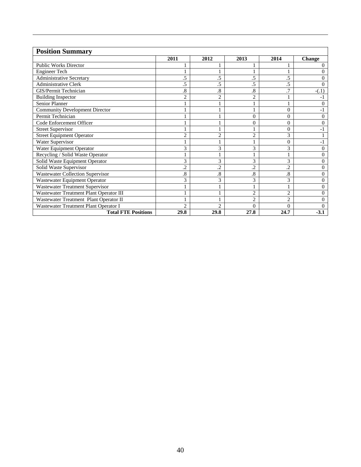| <b>Position Summary</b>                 |                |                      |                |                |                |
|-----------------------------------------|----------------|----------------------|----------------|----------------|----------------|
|                                         | 2011           | 2012                 | 2013           | 2014           | <b>Change</b>  |
| <b>Public Works Director</b>            |                |                      |                |                | $\Omega$       |
| <b>Engineer Tech</b>                    |                |                      |                |                | $\Omega$       |
| <b>Administrative Secretary</b>         | .5             | .5                   | .5             | .5             | $\Omega$       |
| <b>Administrative Clerk</b>             | .5             | .5                   | .5             | .5             | $\Omega$       |
| GIS/Permit Technician                   | .8             | $\cdot$ <sup>8</sup> | .8             | .7             | $-(.1)$        |
| <b>Building Inspector</b>               | $\overline{2}$ | $\overline{c}$       | $\overline{c}$ |                | - 1            |
| <b>Senior Planner</b>                   |                |                      |                |                | $\theta$       |
| <b>Community Development Director</b>   |                |                      |                | $\theta$       | $-1$           |
| Permit Technician                       |                |                      | $\theta$       | $\Omega$       | $\Omega$       |
| Code Enforcement Officer                |                |                      | $\overline{0}$ | $\theta$       | $\theta$       |
| <b>Street Supervisor</b>                |                |                      |                | $\Omega$       | - 1            |
| <b>Street Equipment Operator</b>        | $\overline{c}$ | $\overline{2}$       | $\overline{c}$ | 3              |                |
| Water Supervisor                        |                |                      |                | $\Omega$       | -1             |
| Water Equipment Operator                | 3              | 3                    | 3              | 3              | $\overline{0}$ |
| Recycling / Solid Waste Operator        |                |                      |                |                | $\Omega$       |
| Solid Waste Equipment Operator          | 3              | 3                    | 3              | 3              | $\Omega$       |
| Solid Waste Supervisor                  | $\overline{c}$ | $\overline{2}$       | $\overline{c}$ | $\overline{c}$ | $\overline{0}$ |
| Wastewater Collection Supervisor        | .8             | .8                   | 8.             | 8.             | $\Omega$       |
| Wastewater Equipment Operator           | 3              | 3                    | 3              | 3              | $\theta$       |
| Wastewater Treatment Supervisor         |                |                      |                |                | $\theta$       |
| Wastewater Treatment Plant Operator III |                |                      | $\overline{2}$ | $\overline{2}$ | $\Omega$       |
| Wastewater Treatment Plant Operator II  |                |                      | $\overline{c}$ | $\overline{2}$ | $\mathbf{0}$   |
| Wastewater Treatment Plant Operator I   | $\overline{2}$ | $\overline{c}$       | $\Omega$       | $\Omega$       | 0              |
| <b>Total FTE Positions</b>              | 29.8           | 29.8                 | 27.8           | 24.7           | $-3.1$         |